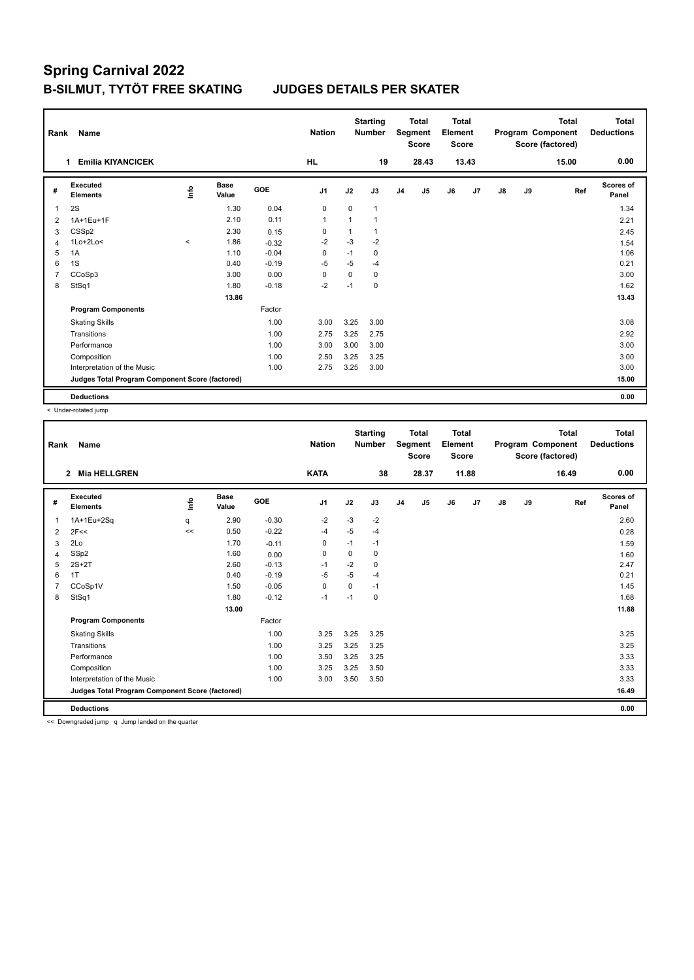| Rank           | Name                                            |         |                      |            | <b>Nation</b>  |      | <b>Starting</b><br><b>Number</b> |                | Total<br>Segment<br><b>Score</b> | <b>Total</b><br>Element<br><b>Score</b> |       |    |    | <b>Total</b><br>Program Component<br>Score (factored) | Total<br><b>Deductions</b> |
|----------------|-------------------------------------------------|---------|----------------------|------------|----------------|------|----------------------------------|----------------|----------------------------------|-----------------------------------------|-------|----|----|-------------------------------------------------------|----------------------------|
|                | <b>Emilia KIYANCICEK</b><br>1                   |         |                      |            | <b>HL</b>      |      | 19                               |                | 28.43                            |                                         | 13.43 |    |    | 15.00                                                 | 0.00                       |
| #              | Executed<br><b>Elements</b>                     | ١nfo    | <b>Base</b><br>Value | <b>GOE</b> | J <sub>1</sub> | J2   | J3                               | J <sub>4</sub> | J5                               | J6                                      | J7    | J8 | J9 | Ref                                                   | <b>Scores of</b><br>Panel  |
| $\overline{1}$ | 2S                                              |         | 1.30                 | 0.04       | 0              | 0    | 1                                |                |                                  |                                         |       |    |    |                                                       | 1.34                       |
| 2              | 1A+1Eu+1F                                       |         | 2.10                 | 0.11       | $\mathbf{1}$   | 1    | 1                                |                |                                  |                                         |       |    |    |                                                       | 2.21                       |
| 3              | CSS <sub>p2</sub>                               |         | 2.30                 | 0.15       | 0              | 1    |                                  |                |                                  |                                         |       |    |    |                                                       | 2.45                       |
| $\overline{4}$ | $1Lo+2Lo<$                                      | $\prec$ | 1.86                 | $-0.32$    | $-2$           | $-3$ | $-2$                             |                |                                  |                                         |       |    |    |                                                       | 1.54                       |
| 5              | 1A                                              |         | 1.10                 | $-0.04$    | 0              | $-1$ | 0                                |                |                                  |                                         |       |    |    |                                                       | 1.06                       |
| 6              | 1S                                              |         | 0.40                 | $-0.19$    | $-5$           | $-5$ | $-4$                             |                |                                  |                                         |       |    |    |                                                       | 0.21                       |
| $\overline{7}$ | CCoSp3                                          |         | 3.00                 | 0.00       | 0              | 0    | 0                                |                |                                  |                                         |       |    |    |                                                       | 3.00                       |
| 8              | StSq1                                           |         | 1.80                 | $-0.18$    | $-2$           | $-1$ | 0                                |                |                                  |                                         |       |    |    |                                                       | 1.62                       |
|                |                                                 |         | 13.86                |            |                |      |                                  |                |                                  |                                         |       |    |    |                                                       | 13.43                      |
|                | <b>Program Components</b>                       |         |                      | Factor     |                |      |                                  |                |                                  |                                         |       |    |    |                                                       |                            |
|                | <b>Skating Skills</b>                           |         |                      | 1.00       | 3.00           | 3.25 | 3.00                             |                |                                  |                                         |       |    |    |                                                       | 3.08                       |
|                | Transitions                                     |         |                      | 1.00       | 2.75           | 3.25 | 2.75                             |                |                                  |                                         |       |    |    |                                                       | 2.92                       |
|                | Performance                                     |         |                      | 1.00       | 3.00           | 3.00 | 3.00                             |                |                                  |                                         |       |    |    |                                                       | 3.00                       |
|                | Composition                                     |         |                      | 1.00       | 2.50           | 3.25 | 3.25                             |                |                                  |                                         |       |    |    |                                                       | 3.00                       |
|                | Interpretation of the Music                     |         |                      | 1.00       | 2.75           | 3.25 | 3.00                             |                |                                  |                                         |       |    |    |                                                       | 3.00                       |
|                | Judges Total Program Component Score (factored) |         |                      |            |                |      |                                  |                |                                  |                                         |       |    |    |                                                       | 15.00                      |
|                | <b>Deductions</b>                               |         |                      |            |                |      |                                  |                |                                  |                                         |       |    |    |                                                       | 0.00                       |

< Under-rotated jump

| Rank | Name                                            |             |                      |         | <b>Nation</b>  |             | <b>Starting</b><br><b>Number</b> |                | <b>Total</b><br>Segment<br><b>Score</b> | <b>Total</b><br>Element<br><b>Score</b> |       |               |    | Total<br>Program Component<br>Score (factored) | <b>Total</b><br><b>Deductions</b> |
|------|-------------------------------------------------|-------------|----------------------|---------|----------------|-------------|----------------------------------|----------------|-----------------------------------------|-----------------------------------------|-------|---------------|----|------------------------------------------------|-----------------------------------|
|      | <b>Mia HELLGREN</b><br>$\mathbf{2}$             |             |                      |         | <b>KATA</b>    |             | 38                               |                | 28.37                                   |                                         | 11.88 |               |    | 16.49                                          | 0.00                              |
| #    | Executed<br><b>Elements</b>                     | <u>info</u> | <b>Base</b><br>Value | GOE     | J <sub>1</sub> | J2          | J3                               | J <sub>4</sub> | J5                                      | J6                                      | J7    | $\mathsf{J}8$ | J9 | Ref                                            | Scores of<br>Panel                |
| 1    | 1A+1Eu+2Sq                                      | q           | 2.90                 | $-0.30$ | $-2$           | $-3$        | $-2$                             |                |                                         |                                         |       |               |    |                                                | 2.60                              |
| 2    | 2F<<                                            | <<          | 0.50                 | $-0.22$ | -4             | $-5$        | $-4$                             |                |                                         |                                         |       |               |    |                                                | 0.28                              |
| 3    | 2Lo                                             |             | 1.70                 | $-0.11$ | 0              | $-1$        | $-1$                             |                |                                         |                                         |       |               |    |                                                | 1.59                              |
| 4    | SSp2                                            |             | 1.60                 | 0.00    | 0              | $\mathbf 0$ | 0                                |                |                                         |                                         |       |               |    |                                                | 1.60                              |
| 5    | $2S+2T$                                         |             | 2.60                 | $-0.13$ | $-1$           | $-2$        | 0                                |                |                                         |                                         |       |               |    |                                                | 2.47                              |
| 6    | 1T                                              |             | 0.40                 | $-0.19$ | $-5$           | $-5$        | $-4$                             |                |                                         |                                         |       |               |    |                                                | 0.21                              |
|      | CCoSp1V                                         |             | 1.50                 | $-0.05$ | 0              | 0           | $-1$                             |                |                                         |                                         |       |               |    |                                                | 1.45                              |
| 8    | StSq1                                           |             | 1.80                 | $-0.12$ | $-1$           | $-1$        | 0                                |                |                                         |                                         |       |               |    |                                                | 1.68                              |
|      |                                                 |             | 13.00                |         |                |             |                                  |                |                                         |                                         |       |               |    |                                                | 11.88                             |
|      | <b>Program Components</b>                       |             |                      | Factor  |                |             |                                  |                |                                         |                                         |       |               |    |                                                |                                   |
|      | <b>Skating Skills</b>                           |             |                      | 1.00    | 3.25           | 3.25        | 3.25                             |                |                                         |                                         |       |               |    |                                                | 3.25                              |
|      | Transitions                                     |             |                      | 1.00    | 3.25           | 3.25        | 3.25                             |                |                                         |                                         |       |               |    |                                                | 3.25                              |
|      | Performance                                     |             |                      | 1.00    | 3.50           | 3.25        | 3.25                             |                |                                         |                                         |       |               |    |                                                | 3.33                              |
|      | Composition                                     |             |                      | 1.00    | 3.25           | 3.25        | 3.50                             |                |                                         |                                         |       |               |    |                                                | 3.33                              |
|      | Interpretation of the Music                     |             |                      | 1.00    | 3.00           | 3.50        | 3.50                             |                |                                         |                                         |       |               |    |                                                | 3.33                              |
|      | Judges Total Program Component Score (factored) |             |                      |         |                |             |                                  |                |                                         |                                         |       |               |    |                                                | 16.49                             |
|      | <b>Deductions</b>                               |             |                      |         |                |             |                                  |                |                                         |                                         |       |               |    |                                                | 0.00                              |

<< Downgraded jump q Jump landed on the quarter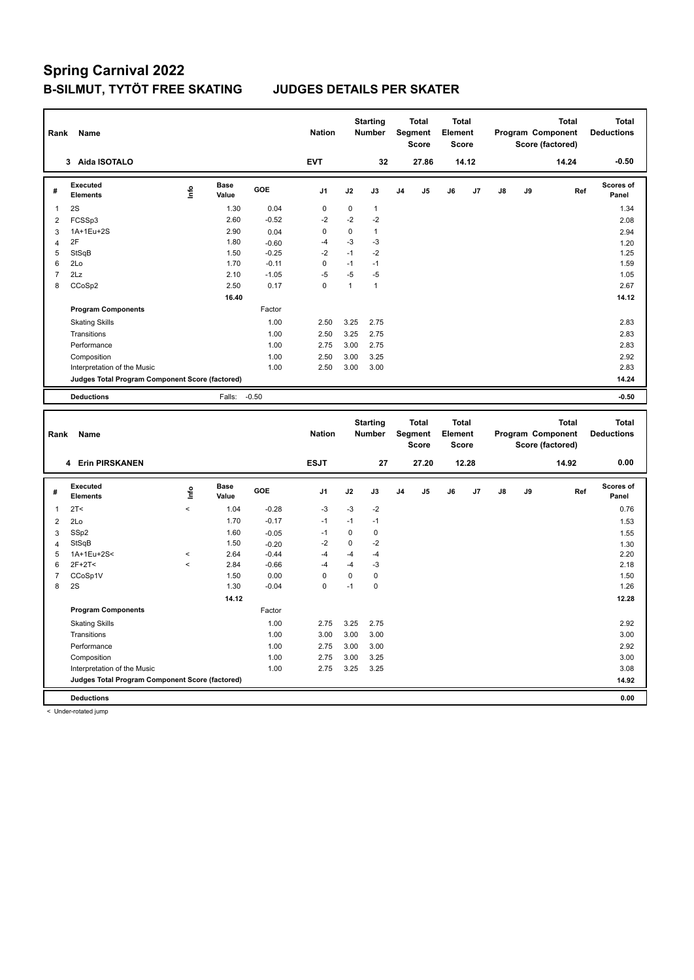| Rank                    | Name                                            |                          |                      |         | <b>Nation</b>  |              | <b>Starting</b><br><b>Number</b> |                | <b>Total</b><br>Segment<br><b>Score</b> | Total<br>Element<br><b>Score</b>        |       |               |    | <b>Total</b><br>Program Component<br>Score (factored) |     | <b>Total</b><br><b>Deductions</b> |
|-------------------------|-------------------------------------------------|--------------------------|----------------------|---------|----------------|--------------|----------------------------------|----------------|-----------------------------------------|-----------------------------------------|-------|---------------|----|-------------------------------------------------------|-----|-----------------------------------|
|                         | 3 Aida ISOTALO                                  |                          |                      |         | <b>EVT</b>     |              | 32                               |                | 27.86                                   |                                         | 14.12 |               |    | 14.24                                                 |     | $-0.50$                           |
| #                       | <b>Executed</b><br><b>Elements</b>              | lnfo                     | <b>Base</b><br>Value | GOE     | J <sub>1</sub> | J2           | J3                               | J4             | J5                                      | J6                                      | J7    | J8            | J9 |                                                       | Ref | Scores of<br>Panel                |
| $\mathbf{1}$            | 2S                                              |                          | 1.30                 | 0.04    | $\mathbf 0$    | $\pmb{0}$    | $\mathbf{1}$                     |                |                                         |                                         |       |               |    |                                                       |     | 1.34                              |
| $\overline{2}$          | FCSSp3                                          |                          | 2.60                 | $-0.52$ | $-2$           | $-2$         | $-2$                             |                |                                         |                                         |       |               |    |                                                       |     | 2.08                              |
| 3                       | 1A+1Eu+2S                                       |                          | 2.90                 | 0.04    | $\mathbf 0$    | $\mathbf 0$  | $\mathbf{1}$                     |                |                                         |                                         |       |               |    |                                                       |     | 2.94                              |
| $\overline{\mathbf{4}}$ | 2F                                              |                          | 1.80                 | $-0.60$ | $-4$           | $-3$         | $-3$                             |                |                                         |                                         |       |               |    |                                                       |     | 1.20                              |
| $\sqrt{5}$              | StSqB                                           |                          | 1.50                 | $-0.25$ | $-2$           | $-1$         | $-2$                             |                |                                         |                                         |       |               |    |                                                       |     | 1.25                              |
| 6                       | 2Lo                                             |                          | 1.70                 | $-0.11$ | $\mathbf 0$    | $-1$         | $-1$                             |                |                                         |                                         |       |               |    |                                                       |     | 1.59                              |
| $\overline{7}$          | 2Lz                                             |                          | 2.10                 | $-1.05$ | $-5$           | $-5$         | $-5$                             |                |                                         |                                         |       |               |    |                                                       |     | 1.05                              |
| 8                       | CCoSp2                                          |                          | 2.50                 | 0.17    | $\mathbf 0$    | $\mathbf{1}$ | $\mathbf{1}$                     |                |                                         |                                         |       |               |    |                                                       |     | 2.67                              |
|                         |                                                 |                          | 16.40                |         |                |              |                                  |                |                                         |                                         |       |               |    |                                                       |     | 14.12                             |
|                         | <b>Program Components</b>                       |                          |                      | Factor  |                |              |                                  |                |                                         |                                         |       |               |    |                                                       |     |                                   |
|                         | <b>Skating Skills</b>                           |                          |                      | 1.00    | 2.50           | 3.25         | 2.75                             |                |                                         |                                         |       |               |    |                                                       |     | 2.83                              |
|                         | Transitions                                     |                          |                      | 1.00    | 2.50           | 3.25         | 2.75                             |                |                                         |                                         |       |               |    |                                                       |     | 2.83                              |
|                         | Performance                                     |                          |                      | 1.00    | 2.75           | 3.00         | 2.75                             |                |                                         |                                         |       |               |    |                                                       |     | 2.83                              |
|                         | Composition                                     |                          |                      | 1.00    | 2.50           | 3.00         | 3.25                             |                |                                         |                                         |       |               |    |                                                       |     | 2.92                              |
|                         | Interpretation of the Music                     |                          |                      | 1.00    | 2.50           | 3.00         | 3.00                             |                |                                         |                                         |       |               |    |                                                       |     | 2.83                              |
|                         | Judges Total Program Component Score (factored) |                          |                      |         |                |              |                                  |                |                                         |                                         |       |               |    |                                                       |     | 14.24                             |
|                         | <b>Deductions</b>                               |                          | Falls:               | $-0.50$ |                |              |                                  |                |                                         |                                         |       |               |    |                                                       |     | $-0.50$                           |
|                         |                                                 |                          |                      |         |                |              |                                  |                |                                         |                                         |       |               |    |                                                       |     |                                   |
|                         |                                                 |                          |                      |         |                |              |                                  |                |                                         |                                         |       |               |    |                                                       |     |                                   |
| Rank                    | Name                                            |                          |                      |         | <b>Nation</b>  |              | <b>Starting</b><br><b>Number</b> |                | <b>Total</b><br>Segment<br><b>Score</b> | <b>Total</b><br>Element<br><b>Score</b> |       |               |    | <b>Total</b><br>Program Component<br>Score (factored) |     | <b>Total</b><br><b>Deductions</b> |
|                         | 4 Erin PIRSKANEN                                |                          |                      |         | <b>ESJT</b>    |              | 27                               |                | 27.20                                   |                                         | 12.28 |               |    | 14.92                                                 |     | 0.00                              |
| #                       | <b>Executed</b><br><b>Elements</b>              | ١m                       | <b>Base</b><br>Value | GOE     | J <sub>1</sub> | J2           | J3                               | J <sub>4</sub> | J5                                      | J6                                      | J7    | $\mathsf{J}8$ | J9 |                                                       | Ref | <b>Scores of</b><br>Panel         |
| $\mathbf{1}$            | 2T <                                            | $\,<$                    | 1.04                 | $-0.28$ | $-3$           | $-3$         | $-2$                             |                |                                         |                                         |       |               |    |                                                       |     | 0.76                              |
| $\overline{2}$          | 2Lo                                             |                          | 1.70                 | $-0.17$ | $-1$           | $-1$         | $-1$                             |                |                                         |                                         |       |               |    |                                                       |     | 1.53                              |
| $\mathbf{3}$            | SSp2                                            |                          | 1.60                 | $-0.05$ | $-1$           | $\Omega$     | $\pmb{0}$                        |                |                                         |                                         |       |               |    |                                                       |     | 1.55                              |
| $\overline{4}$          | StSqB                                           |                          | 1.50                 | $-0.20$ | $-2$           | $\pmb{0}$    | $-2$                             |                |                                         |                                         |       |               |    |                                                       |     | 1.30                              |
| 5                       | 1A+1Eu+2S<                                      | $\,<$                    | 2.64                 | $-0.44$ | $-4$           | $-4$         | $-4$                             |                |                                         |                                         |       |               |    |                                                       |     | 2.20                              |
| 6                       | $2F+2T<$                                        | $\overline{\phantom{a}}$ | 2.84                 | $-0.66$ | $-4$           | $-4$         | $-3$                             |                |                                         |                                         |       |               |    |                                                       |     | 2.18                              |
| $\overline{7}$          | CCoSp1V                                         |                          | 1.50                 | 0.00    | $\mathbf 0$    | $\pmb{0}$    | $\pmb{0}$                        |                |                                         |                                         |       |               |    |                                                       |     | 1.50                              |
| 8                       | 2S                                              |                          | 1.30                 | $-0.04$ | $\Omega$       | $-1$         | $\mathbf 0$                      |                |                                         |                                         |       |               |    |                                                       |     | 1.26                              |
|                         |                                                 |                          | 14.12                |         |                |              |                                  |                |                                         |                                         |       |               |    |                                                       |     | 12.28                             |
|                         | <b>Program Components</b>                       |                          |                      | Factor  |                |              |                                  |                |                                         |                                         |       |               |    |                                                       |     |                                   |
|                         | <b>Skating Skills</b>                           |                          |                      | 1.00    | 2.75           | 3.25         | 2.75                             |                |                                         |                                         |       |               |    |                                                       |     | 2.92                              |
|                         | Transitions                                     |                          |                      | 1.00    | 3.00           | 3.00         | 3.00                             |                |                                         |                                         |       |               |    |                                                       |     | 3.00                              |
|                         | Performance                                     |                          |                      | 1.00    | 2.75           | 3.00         | 3.00                             |                |                                         |                                         |       |               |    |                                                       |     | 2.92                              |
|                         | Composition                                     |                          |                      | 1.00    | 2.75           | 3.00         | 3.25                             |                |                                         |                                         |       |               |    |                                                       |     | 3.00                              |
|                         | Interpretation of the Music                     |                          |                      | 1.00    | 2.75           | 3.25         | 3.25                             |                |                                         |                                         |       |               |    |                                                       |     | 3.08                              |
|                         | Judges Total Program Component Score (factored) |                          |                      |         |                |              |                                  |                |                                         |                                         |       |               |    |                                                       |     | 14.92                             |

< Under-rotated jump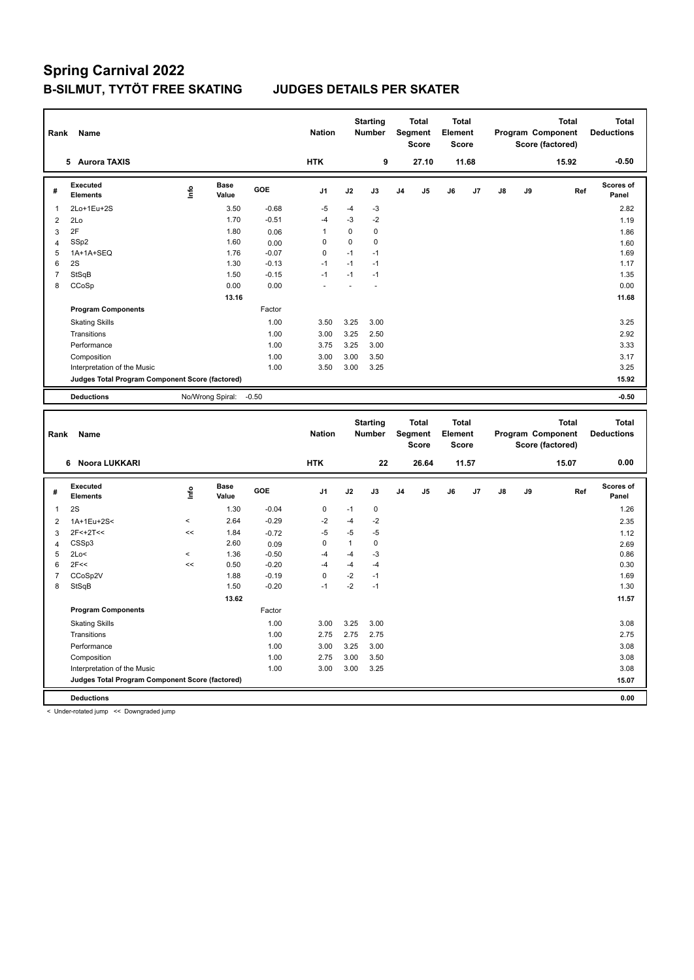| Rank           | Name                                            |                          |                      |         | <b>Nation</b> |              | <b>Starting</b><br>Number        |    | <b>Total</b><br>Segment<br><b>Score</b> | <b>Total</b><br>Element<br><b>Score</b> |       |    | Program Component<br>Score (factored) |       | <b>Total</b> | <b>Total</b><br><b>Deductions</b> |
|----------------|-------------------------------------------------|--------------------------|----------------------|---------|---------------|--------------|----------------------------------|----|-----------------------------------------|-----------------------------------------|-------|----|---------------------------------------|-------|--------------|-----------------------------------|
|                | 5 Aurora TAXIS                                  |                          |                      |         | <b>HTK</b>    |              | 9                                |    | 27.10                                   |                                         | 11.68 |    |                                       | 15.92 |              | $-0.50$                           |
| #              | <b>Executed</b><br><b>Elements</b>              | Info                     | <b>Base</b><br>Value | GOE     | J1            | J2           | J3                               | J4 | J5                                      | J6                                      | J7    | J8 | J9                                    |       | Ref          | <b>Scores of</b><br>Panel         |
| 1              | 2Lo+1Eu+2S                                      |                          | 3.50                 | $-0.68$ | $-5$          | $-4$         | -3                               |    |                                         |                                         |       |    |                                       |       |              | 2.82                              |
| $\overline{2}$ | 2Lo                                             |                          | 1.70                 | $-0.51$ | $-4$          | $-3$         | $-2$                             |    |                                         |                                         |       |    |                                       |       |              | 1.19                              |
| 3              | 2F                                              |                          | 1.80                 | 0.06    | 1             | 0            | $\mathbf 0$                      |    |                                         |                                         |       |    |                                       |       |              | 1.86                              |
| $\overline{4}$ | SSp2                                            |                          | 1.60                 | 0.00    | $\Omega$      | 0            | $\mathbf 0$                      |    |                                         |                                         |       |    |                                       |       |              | 1.60                              |
| 5              | 1A+1A+SEQ                                       |                          | 1.76                 | $-0.07$ | 0             | $-1$         | $-1$                             |    |                                         |                                         |       |    |                                       |       |              | 1.69                              |
| 6              | 2S                                              |                          | 1.30                 | $-0.13$ | $-1$          | $-1$         | $-1$                             |    |                                         |                                         |       |    |                                       |       |              | 1.17                              |
| $\overline{7}$ | StSqB                                           |                          | 1.50                 | $-0.15$ | $-1$          | $-1$         | $-1$                             |    |                                         |                                         |       |    |                                       |       |              | 1.35                              |
| 8              | CCoSp                                           |                          | 0.00                 | 0.00    |               |              |                                  |    |                                         |                                         |       |    |                                       |       |              | 0.00                              |
|                |                                                 |                          | 13.16                |         |               |              |                                  |    |                                         |                                         |       |    |                                       |       |              | 11.68                             |
|                | <b>Program Components</b>                       |                          |                      | Factor  |               |              |                                  |    |                                         |                                         |       |    |                                       |       |              |                                   |
|                | <b>Skating Skills</b>                           |                          |                      | 1.00    | 3.50          | 3.25         | 3.00                             |    |                                         |                                         |       |    |                                       |       |              | 3.25                              |
|                | Transitions                                     |                          |                      | 1.00    | 3.00          | 3.25         | 2.50                             |    |                                         |                                         |       |    |                                       |       |              | 2.92                              |
|                | Performance                                     |                          |                      | 1.00    | 3.75          | 3.25         | 3.00                             |    |                                         |                                         |       |    |                                       |       |              | 3.33                              |
|                | Composition                                     |                          |                      | 1.00    | 3.00          | 3.00         | 3.50                             |    |                                         |                                         |       |    |                                       |       |              | 3.17                              |
|                | Interpretation of the Music                     |                          |                      | 1.00    | 3.50          | 3.00         | 3.25                             |    |                                         |                                         |       |    |                                       |       |              | 3.25                              |
|                | Judges Total Program Component Score (factored) |                          |                      |         |               |              |                                  |    |                                         |                                         |       |    |                                       |       |              | 15.92                             |
|                | <b>Deductions</b>                               |                          | No/Wrong Spiral:     | $-0.50$ |               |              |                                  |    |                                         |                                         |       |    |                                       |       |              | $-0.50$                           |
|                |                                                 |                          |                      |         |               |              |                                  |    |                                         |                                         |       |    |                                       |       |              |                                   |
|                |                                                 |                          |                      |         |               |              |                                  |    |                                         |                                         |       |    |                                       |       |              |                                   |
| Rank           | Name                                            |                          |                      |         | <b>Nation</b> |              | <b>Starting</b><br><b>Number</b> |    | <b>Total</b><br>Segment<br><b>Score</b> | <b>Total</b><br>Element<br><b>Score</b> |       |    | Program Component<br>Score (factored) |       | <b>Total</b> | <b>Total</b><br><b>Deductions</b> |
|                | 6 Noora LUKKARI                                 |                          |                      |         | <b>HTK</b>    |              | 22                               |    | 26.64                                   |                                         | 11.57 |    |                                       | 15.07 |              | 0.00                              |
| #              | <b>Executed</b><br><b>Elements</b>              | ١mfo                     | <b>Base</b><br>Value | GOE     | J1            | J2           | J3                               | J4 | J5                                      | J6                                      | J7    | J8 | J9                                    |       | Ref          | <b>Scores of</b><br>Panel         |
| $\mathbf{1}$   | 2S                                              |                          | 1.30                 | $-0.04$ | $\mathbf 0$   | $-1$         | $\pmb{0}$                        |    |                                         |                                         |       |    |                                       |       |              | 1.26                              |
| $\overline{2}$ | 1A+1Eu+2S<                                      | $\overline{\phantom{a}}$ | 2.64                 | $-0.29$ | $-2$          | $-4$         | $-2$                             |    |                                         |                                         |       |    |                                       |       |              | 2.35                              |
| 3              | $2F<+2T<$                                       | <<                       | 1.84                 | $-0.72$ | $-5$          | $-5$         | $-5$                             |    |                                         |                                         |       |    |                                       |       |              | 1.12                              |
| $\overline{4}$ | CSSp3                                           |                          | 2.60                 | 0.09    | $\pmb{0}$     | $\mathbf{1}$ | $\pmb{0}$                        |    |                                         |                                         |       |    |                                       |       |              | 2.69                              |
| 5              | 2Lo<                                            | $\overline{\phantom{a}}$ | 1.36                 | $-0.50$ | $-4$          | $-4$         | $-3$                             |    |                                         |                                         |       |    |                                       |       |              | 0.86                              |
| 6              | 2F<<                                            | <<                       | 0.50                 | $-0.20$ | $-4$          | $-4$         | $-4$                             |    |                                         |                                         |       |    |                                       |       |              | 0.30                              |
| $\overline{7}$ | CCoSp2V                                         |                          | 1.88                 | $-0.19$ | $\pmb{0}$     | $-2$         | $-1$                             |    |                                         |                                         |       |    |                                       |       |              | 1.69                              |
| 8              | StSqB                                           |                          | 1.50                 | $-0.20$ | $-1$          | $-2$         | $-1$                             |    |                                         |                                         |       |    |                                       |       |              | 1.30                              |
|                |                                                 |                          | 13.62                |         |               |              |                                  |    |                                         |                                         |       |    |                                       |       |              | 11.57                             |
|                | <b>Program Components</b>                       |                          |                      | Factor  |               |              |                                  |    |                                         |                                         |       |    |                                       |       |              |                                   |
|                | <b>Skating Skills</b>                           |                          |                      | 1.00    | 3.00          | 3.25         | 3.00                             |    |                                         |                                         |       |    |                                       |       |              | 3.08                              |
|                | Transitions                                     |                          |                      | 1.00    | 2.75          | 2.75         | 2.75                             |    |                                         |                                         |       |    |                                       |       |              | 2.75                              |
|                | Performance                                     |                          |                      | 1.00    | 3.00          | 3.25         | 3.00                             |    |                                         |                                         |       |    |                                       |       |              | 3.08                              |
|                | Composition                                     |                          |                      | 1.00    | 2.75          | 3.00         | 3.50                             |    |                                         |                                         |       |    |                                       |       |              | 3.08                              |
|                | Interpretation of the Music                     |                          |                      | 1.00    | 3.00          | 3.00         | 3.25                             |    |                                         |                                         |       |    |                                       |       |              | 3.08                              |
|                | Judges Total Program Component Score (factored) |                          |                      |         |               |              |                                  |    |                                         |                                         |       |    |                                       |       |              | 15.07                             |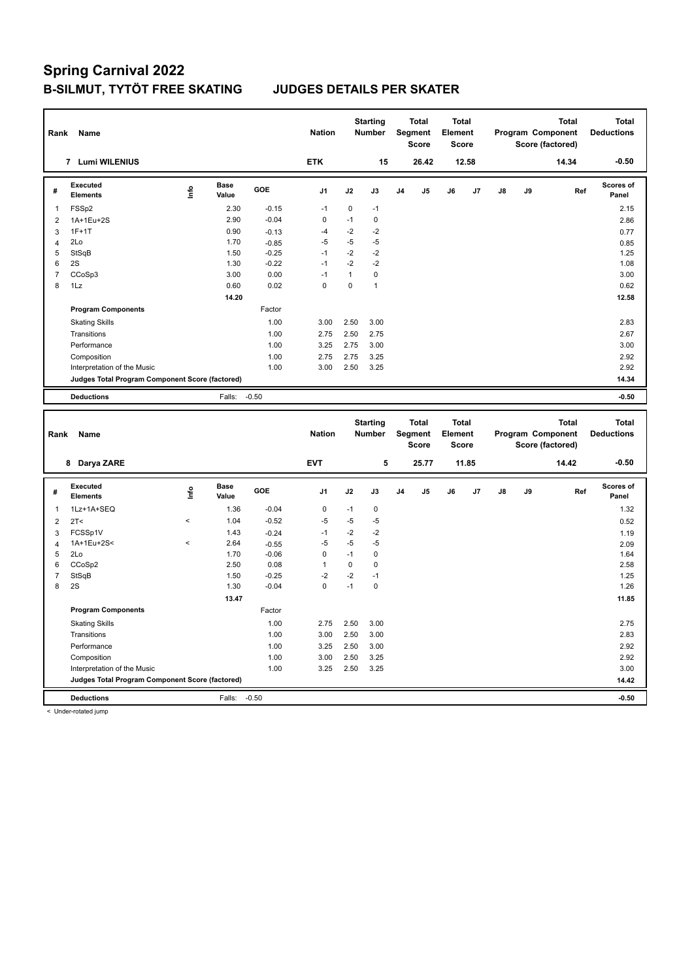| Rank                    | Name                                            |                          |                      |         | <b>Nation</b>  |              | <b>Starting</b><br>Number |                | <b>Total</b><br><b>Segment</b><br><b>Score</b> | <b>Total</b><br>Element<br><b>Score</b> |       |    | Program Component<br>Score (factored) | <b>Total</b> | <b>Total</b><br><b>Deductions</b> |
|-------------------------|-------------------------------------------------|--------------------------|----------------------|---------|----------------|--------------|---------------------------|----------------|------------------------------------------------|-----------------------------------------|-------|----|---------------------------------------|--------------|-----------------------------------|
|                         | 7 Lumi WILENIUS                                 |                          |                      |         | <b>ETK</b>     |              | 15                        |                | 26.42                                          |                                         | 12.58 |    |                                       | 14.34        | $-0.50$                           |
| #                       | Executed<br><b>Elements</b>                     | Info                     | <b>Base</b><br>Value | GOE     | J <sub>1</sub> | J2           | J3                        | J <sub>4</sub> | J5                                             | J6                                      | J7    | J8 | J9                                    | Ref          | <b>Scores of</b><br>Panel         |
| 1                       | FSSp2                                           |                          | 2.30                 | $-0.15$ | $-1$           | 0            | $-1$                      |                |                                                |                                         |       |    |                                       |              | 2.15                              |
| $\overline{2}$          | 1A+1Eu+2S                                       |                          | 2.90                 | $-0.04$ | $\pmb{0}$      | $-1$         | $\pmb{0}$                 |                |                                                |                                         |       |    |                                       |              | 2.86                              |
| 3                       | $1F+1T$                                         |                          | 0.90                 | $-0.13$ | $-4$           | $-2$         | $-2$                      |                |                                                |                                         |       |    |                                       |              | 0.77                              |
| $\overline{\mathbf{4}}$ | 2Lo                                             |                          | 1.70                 | $-0.85$ | $-5$           | $-5$         | $-5$                      |                |                                                |                                         |       |    |                                       |              | 0.85                              |
| 5                       | StSqB                                           |                          | 1.50                 | $-0.25$ | $-1$           | $-2$         | $-2$                      |                |                                                |                                         |       |    |                                       |              | 1.25                              |
| 6                       | 2S                                              |                          | 1.30                 | $-0.22$ | $-1$           | $-2$         | $-2$                      |                |                                                |                                         |       |    |                                       |              | 1.08                              |
| $\overline{7}$          | CCoSp3                                          |                          | 3.00                 | 0.00    | $-1$           | $\mathbf{1}$ | $\pmb{0}$                 |                |                                                |                                         |       |    |                                       |              | 3.00                              |
| 8                       | 1Lz                                             |                          | 0.60                 | 0.02    | $\mathbf 0$    | $\mathbf 0$  | $\mathbf{1}$              |                |                                                |                                         |       |    |                                       |              | 0.62                              |
|                         |                                                 |                          | 14.20                |         |                |              |                           |                |                                                |                                         |       |    |                                       |              | 12.58                             |
|                         | <b>Program Components</b>                       |                          |                      | Factor  |                |              |                           |                |                                                |                                         |       |    |                                       |              |                                   |
|                         | <b>Skating Skills</b>                           |                          |                      | 1.00    | 3.00           | 2.50         | 3.00                      |                |                                                |                                         |       |    |                                       |              | 2.83                              |
|                         | Transitions                                     |                          |                      | 1.00    | 2.75           | 2.50         | 2.75                      |                |                                                |                                         |       |    |                                       |              | 2.67                              |
|                         | Performance                                     |                          |                      | 1.00    | 3.25           | 2.75         | 3.00                      |                |                                                |                                         |       |    |                                       |              | 3.00                              |
|                         | Composition                                     |                          |                      | 1.00    | 2.75           | 2.75         | 3.25                      |                |                                                |                                         |       |    |                                       |              | 2.92                              |
|                         | Interpretation of the Music                     |                          |                      | 1.00    | 3.00           | 2.50         | 3.25                      |                |                                                |                                         |       |    |                                       |              | 2.92                              |
|                         | Judges Total Program Component Score (factored) |                          |                      |         |                |              |                           |                |                                                |                                         |       |    |                                       |              | 14.34                             |
|                         | <b>Deductions</b>                               |                          | Falls:               | $-0.50$ |                |              |                           |                |                                                |                                         |       |    |                                       |              | $-0.50$                           |
|                         |                                                 |                          |                      |         |                |              |                           |                |                                                |                                         |       |    |                                       |              |                                   |
|                         |                                                 |                          |                      |         |                |              |                           |                |                                                |                                         |       |    |                                       |              |                                   |
| Rank                    | Name                                            |                          |                      |         | <b>Nation</b>  |              | <b>Starting</b><br>Number |                | <b>Total</b><br><b>Segment</b><br>Score        | <b>Total</b><br>Element<br><b>Score</b> |       |    | Program Component<br>Score (factored) | <b>Total</b> | <b>Total</b><br><b>Deductions</b> |
|                         | 8 Darya ZARE                                    |                          |                      |         | <b>EVT</b>     |              | 5                         |                | 25.77                                          |                                         | 11.85 |    |                                       | 14.42        | $-0.50$                           |
| #                       | <b>Executed</b><br><b>Elements</b>              | Info                     | <b>Base</b><br>Value | GOE     | J <sub>1</sub> | J2           | J3                        | J4             | J5                                             | J6                                      | J7    | J8 | J9                                    | Ref          | <b>Scores of</b><br>Panel         |
| 1                       | 1Lz+1A+SEQ                                      |                          | 1.36                 | $-0.04$ | 0              | $-1$         | $\pmb{0}$                 |                |                                                |                                         |       |    |                                       |              | 1.32                              |
| $\overline{2}$          | 2T <                                            | $\overline{a}$           | 1.04                 | $-0.52$ | $-5$           | $-5$         | $-5$                      |                |                                                |                                         |       |    |                                       |              | 0.52                              |
| 3                       | FCSSp1V                                         |                          | 1.43                 | $-0.24$ | $-1$           | $-2$         | $-2$                      |                |                                                |                                         |       |    |                                       |              | 1.19                              |
| $\overline{4}$          | 1A+1Eu+2S<                                      | $\overline{\phantom{a}}$ | 2.64                 | $-0.55$ | $-5$           | $-5$         | -5                        |                |                                                |                                         |       |    |                                       |              | 2.09                              |
| 5                       | 2Lo                                             |                          | 1.70                 | $-0.06$ | 0              | $-1$         | $\mathbf 0$               |                |                                                |                                         |       |    |                                       |              | 1.64                              |
| 6                       | CCoSp2                                          |                          | 2.50                 | 0.08    | $\mathbf{1}$   | 0            | $\pmb{0}$                 |                |                                                |                                         |       |    |                                       |              | 2.58                              |
| $\overline{7}$          | StSqB                                           |                          | 1.50                 | $-0.25$ | $-2$           | $-2$         | $-1$                      |                |                                                |                                         |       |    |                                       |              | 1.25                              |
| 8                       | 2S                                              |                          | 1.30                 | $-0.04$ | $\mathbf 0$    | $-1$         | $\pmb{0}$                 |                |                                                |                                         |       |    |                                       |              | 1.26                              |
|                         |                                                 |                          | 13.47                |         |                |              |                           |                |                                                |                                         |       |    |                                       |              | 11.85                             |
|                         | <b>Program Components</b>                       |                          |                      | Factor  |                |              |                           |                |                                                |                                         |       |    |                                       |              |                                   |
|                         | <b>Skating Skills</b>                           |                          |                      | 1.00    | 2.75           | 2.50         | 3.00                      |                |                                                |                                         |       |    |                                       |              | 2.75                              |
|                         | Transitions                                     |                          |                      | 1.00    | 3.00           | 2.50         | 3.00                      |                |                                                |                                         |       |    |                                       |              | 2.83                              |
|                         | Performance                                     |                          |                      | 1.00    | 3.25           | 2.50         | 3.00                      |                |                                                |                                         |       |    |                                       |              | 2.92                              |
|                         | Composition                                     |                          |                      | 1.00    | 3.00           | 2.50         | 3.25                      |                |                                                |                                         |       |    |                                       |              | 2.92                              |
|                         | Interpretation of the Music                     |                          |                      | 1.00    | 3.25           | 2.50         | 3.25                      |                |                                                |                                         |       |    |                                       |              | 3.00                              |
|                         | Judges Total Program Component Score (factored) |                          |                      |         |                |              |                           |                |                                                |                                         |       |    |                                       |              | 14.42                             |

< Under-rotated jump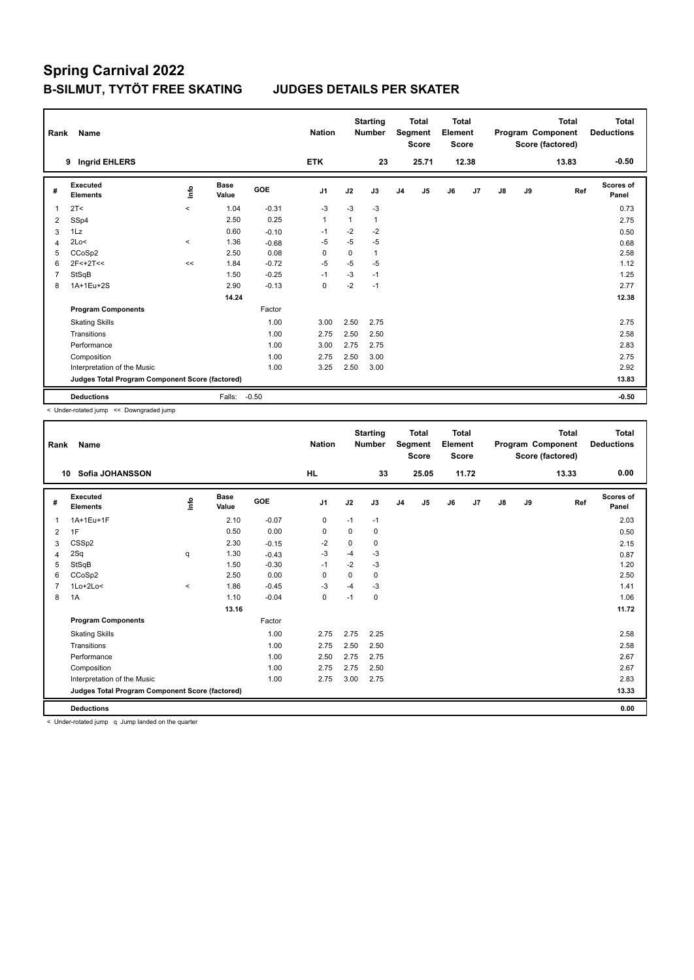| Rank           | Name                                            |         |                      |         | <b>Nation</b>  |      | <b>Starting</b><br><b>Number</b> |                | <b>Total</b><br>Segment<br><b>Score</b> | <b>Total</b><br>Element<br><b>Score</b> |       |    |    | <b>Total</b><br>Program Component<br>Score (factored) | <b>Total</b><br><b>Deductions</b> |
|----------------|-------------------------------------------------|---------|----------------------|---------|----------------|------|----------------------------------|----------------|-----------------------------------------|-----------------------------------------|-------|----|----|-------------------------------------------------------|-----------------------------------|
|                | <b>Ingrid EHLERS</b><br>9                       |         |                      |         | <b>ETK</b>     |      | 23                               |                | 25.71                                   |                                         | 12.38 |    |    | 13.83                                                 | $-0.50$                           |
| #              | Executed<br><b>Elements</b>                     | ۴٥      | <b>Base</b><br>Value | GOE     | J <sub>1</sub> | J2   | J3                               | J <sub>4</sub> | J <sub>5</sub>                          | J6                                      | J7    | J8 | J9 | Ref                                                   | Scores of<br>Panel                |
| 1              | 2T <                                            | $\prec$ | 1.04                 | $-0.31$ | $-3$           | $-3$ | $-3$                             |                |                                         |                                         |       |    |    |                                                       | 0.73                              |
| $\overline{2}$ | SSp4                                            |         | 2.50                 | 0.25    | $\mathbf{1}$   | 1    | $\mathbf{1}$                     |                |                                         |                                         |       |    |    |                                                       | 2.75                              |
| 3              | 1Lz                                             |         | 0.60                 | $-0.10$ | $-1$           | $-2$ | $-2$                             |                |                                         |                                         |       |    |    |                                                       | 0.50                              |
| $\overline{4}$ | 2Lo<                                            | $\,<\,$ | 1.36                 | $-0.68$ | $-5$           | $-5$ | $-5$                             |                |                                         |                                         |       |    |    |                                                       | 0.68                              |
| 5              | CCoSp2                                          |         | 2.50                 | 0.08    | $\Omega$       | 0    | $\mathbf{1}$                     |                |                                         |                                         |       |    |    |                                                       | 2.58                              |
| 6              | $2F < +2T <$                                    | <<      | 1.84                 | $-0.72$ | $-5$           | $-5$ | $-5$                             |                |                                         |                                         |       |    |    |                                                       | 1.12                              |
| 7              | StSqB                                           |         | 1.50                 | $-0.25$ | $-1$           | $-3$ | $-1$                             |                |                                         |                                         |       |    |    |                                                       | 1.25                              |
| 8              | 1A+1Eu+2S                                       |         | 2.90                 | $-0.13$ | 0              | $-2$ | $-1$                             |                |                                         |                                         |       |    |    |                                                       | 2.77                              |
|                |                                                 |         | 14.24                |         |                |      |                                  |                |                                         |                                         |       |    |    |                                                       | 12.38                             |
|                | <b>Program Components</b>                       |         |                      | Factor  |                |      |                                  |                |                                         |                                         |       |    |    |                                                       |                                   |
|                | <b>Skating Skills</b>                           |         |                      | 1.00    | 3.00           | 2.50 | 2.75                             |                |                                         |                                         |       |    |    |                                                       | 2.75                              |
|                | Transitions                                     |         |                      | 1.00    | 2.75           | 2.50 | 2.50                             |                |                                         |                                         |       |    |    |                                                       | 2.58                              |
|                | Performance                                     |         |                      | 1.00    | 3.00           | 2.75 | 2.75                             |                |                                         |                                         |       |    |    |                                                       | 2.83                              |
|                | Composition                                     |         |                      | 1.00    | 2.75           | 2.50 | 3.00                             |                |                                         |                                         |       |    |    |                                                       | 2.75                              |
|                | Interpretation of the Music                     |         |                      | 1.00    | 3.25           | 2.50 | 3.00                             |                |                                         |                                         |       |    |    |                                                       | 2.92                              |
|                | Judges Total Program Component Score (factored) |         |                      |         |                |      |                                  |                |                                         |                                         |       |    |    |                                                       | 13.83                             |
|                | <b>Deductions</b>                               |         | Falls:               | $-0.50$ |                |      |                                  |                |                                         |                                         |       |    |    |                                                       | $-0.50$                           |

< Under-rotated jump << Downgraded jump

| Rank | <b>Name</b>                                     |             |                      |         | <b>Nation</b>  |          | <b>Starting</b><br><b>Number</b> |                | <b>Total</b><br>Segment<br><b>Score</b> | <b>Total</b><br>Element<br><b>Score</b> |       |               |    | <b>Total</b><br>Program Component<br>Score (factored) | <b>Total</b><br><b>Deductions</b> |
|------|-------------------------------------------------|-------------|----------------------|---------|----------------|----------|----------------------------------|----------------|-----------------------------------------|-----------------------------------------|-------|---------------|----|-------------------------------------------------------|-----------------------------------|
| 10   | Sofia JOHANSSON                                 |             |                      |         | <b>HL</b>      |          | 33                               |                | 25.05                                   |                                         | 11.72 |               |    | 13.33                                                 | 0.00                              |
| #    | Executed<br><b>Elements</b>                     | <u>info</u> | <b>Base</b><br>Value | GOE     | J <sub>1</sub> | J2       | J3                               | J <sub>4</sub> | J5                                      | J6                                      | J7    | $\mathsf{J}8$ | J9 | Ref                                                   | <b>Scores of</b><br>Panel         |
| 1    | 1A+1Eu+1F                                       |             | 2.10                 | $-0.07$ | 0              | $-1$     | $-1$                             |                |                                         |                                         |       |               |    |                                                       | 2.03                              |
| 2    | 1F                                              |             | 0.50                 | 0.00    | 0              | 0        | 0                                |                |                                         |                                         |       |               |    |                                                       | 0.50                              |
| 3    | CSSp2                                           |             | 2.30                 | $-0.15$ | $-2$           | 0        | 0                                |                |                                         |                                         |       |               |    |                                                       | 2.15                              |
| 4    | 2Sq                                             | q           | 1.30                 | $-0.43$ | $-3$           | $-4$     | $-3$                             |                |                                         |                                         |       |               |    |                                                       | 0.87                              |
| 5    | StSqB                                           |             | 1.50                 | $-0.30$ | $-1$           | $-2$     | $-3$                             |                |                                         |                                         |       |               |    |                                                       | 1.20                              |
| 6    | CCoSp2                                          |             | 2.50                 | 0.00    | $\Omega$       | $\Omega$ | 0                                |                |                                         |                                         |       |               |    |                                                       | 2.50                              |
|      | $1$ Lo $+2$ Lo<                                 | $\hat{}$    | 1.86                 | $-0.45$ | -3             | $-4$     | $-3$                             |                |                                         |                                         |       |               |    |                                                       | 1.41                              |
| 8    | 1A                                              |             | 1.10                 | $-0.04$ | $\mathbf 0$    | $-1$     | 0                                |                |                                         |                                         |       |               |    |                                                       | 1.06                              |
|      |                                                 |             | 13.16                |         |                |          |                                  |                |                                         |                                         |       |               |    |                                                       | 11.72                             |
|      | <b>Program Components</b>                       |             |                      | Factor  |                |          |                                  |                |                                         |                                         |       |               |    |                                                       |                                   |
|      | <b>Skating Skills</b>                           |             |                      | 1.00    | 2.75           | 2.75     | 2.25                             |                |                                         |                                         |       |               |    |                                                       | 2.58                              |
|      | Transitions                                     |             |                      | 1.00    | 2.75           | 2.50     | 2.50                             |                |                                         |                                         |       |               |    |                                                       | 2.58                              |
|      | Performance                                     |             |                      | 1.00    | 2.50           | 2.75     | 2.75                             |                |                                         |                                         |       |               |    |                                                       | 2.67                              |
|      | Composition                                     |             |                      | 1.00    | 2.75           | 2.75     | 2.50                             |                |                                         |                                         |       |               |    |                                                       | 2.67                              |
|      | Interpretation of the Music                     |             |                      | 1.00    | 2.75           | 3.00     | 2.75                             |                |                                         |                                         |       |               |    |                                                       | 2.83                              |
|      | Judges Total Program Component Score (factored) |             |                      |         |                |          |                                  |                |                                         |                                         |       |               |    |                                                       | 13.33                             |
|      | <b>Deductions</b>                               |             |                      |         |                |          |                                  |                |                                         |                                         |       |               |    |                                                       | 0.00                              |

< Under-rotated jump q Jump landed on the quarter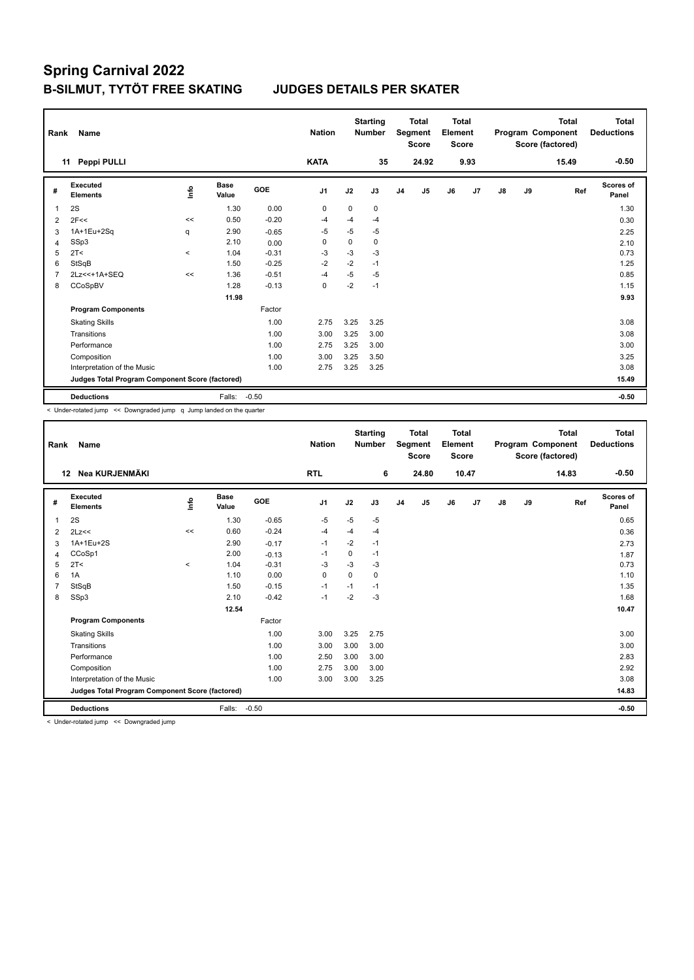| Rank           | Name                                            |         |                      |         | <b>Nation</b>  |          | <b>Starting</b><br><b>Number</b> |                | <b>Total</b><br>Segment<br><b>Score</b> | <b>Total</b><br>Element<br><b>Score</b> |      |    |    | <b>Total</b><br>Program Component<br>Score (factored) | Total<br><b>Deductions</b> |
|----------------|-------------------------------------------------|---------|----------------------|---------|----------------|----------|----------------------------------|----------------|-----------------------------------------|-----------------------------------------|------|----|----|-------------------------------------------------------|----------------------------|
|                | Peppi PULLI<br>11                               |         |                      |         | <b>KATA</b>    |          | 35                               |                | 24.92                                   |                                         | 9.93 |    |    | 15.49                                                 | $-0.50$                    |
| #              | Executed<br><b>Elements</b>                     | ١nfo    | <b>Base</b><br>Value | GOE     | J <sub>1</sub> | J2       | J3                               | J <sub>4</sub> | J5                                      | J6                                      | J7   | J8 | J9 | Ref                                                   | Scores of<br>Panel         |
| 1              | 2S                                              |         | 1.30                 | 0.00    | $\mathbf 0$    | $\Omega$ | $\Omega$                         |                |                                         |                                         |      |    |    |                                                       | 1.30                       |
| 2              | 2F<<                                            | $\,<$   | 0.50                 | $-0.20$ | $-4$           | $-4$     | $-4$                             |                |                                         |                                         |      |    |    |                                                       | 0.30                       |
| 3              | 1A+1Eu+2Sq                                      | q       | 2.90                 | $-0.65$ | $-5$           | $-5$     | $-5$                             |                |                                         |                                         |      |    |    |                                                       | 2.25                       |
| 4              | SSp3                                            |         | 2.10                 | 0.00    | 0              | 0        | 0                                |                |                                         |                                         |      |    |    |                                                       | 2.10                       |
| 5              | 2T <                                            | $\prec$ | 1.04                 | $-0.31$ | $-3$           | $-3$     | $-3$                             |                |                                         |                                         |      |    |    |                                                       | 0.73                       |
| 6              | StSqB                                           |         | 1.50                 | $-0.25$ | -2             | $-2$     | $-1$                             |                |                                         |                                         |      |    |    |                                                       | 1.25                       |
| $\overline{7}$ | 2Lz << + 1A + SEQ                               | <<      | 1.36                 | $-0.51$ | $-4$           | $-5$     | $-5$                             |                |                                         |                                         |      |    |    |                                                       | 0.85                       |
| 8              | CCoSpBV                                         |         | 1.28                 | $-0.13$ | $\mathbf 0$    | $-2$     | $-1$                             |                |                                         |                                         |      |    |    |                                                       | 1.15                       |
|                |                                                 |         | 11.98                |         |                |          |                                  |                |                                         |                                         |      |    |    |                                                       | 9.93                       |
|                | <b>Program Components</b>                       |         |                      | Factor  |                |          |                                  |                |                                         |                                         |      |    |    |                                                       |                            |
|                | <b>Skating Skills</b>                           |         |                      | 1.00    | 2.75           | 3.25     | 3.25                             |                |                                         |                                         |      |    |    |                                                       | 3.08                       |
|                | Transitions                                     |         |                      | 1.00    | 3.00           | 3.25     | 3.00                             |                |                                         |                                         |      |    |    |                                                       | 3.08                       |
|                | Performance                                     |         |                      | 1.00    | 2.75           | 3.25     | 3.00                             |                |                                         |                                         |      |    |    |                                                       | 3.00                       |
|                | Composition                                     |         |                      | 1.00    | 3.00           | 3.25     | 3.50                             |                |                                         |                                         |      |    |    |                                                       | 3.25                       |
|                | Interpretation of the Music                     |         |                      | 1.00    | 2.75           | 3.25     | 3.25                             |                |                                         |                                         |      |    |    |                                                       | 3.08                       |
|                | Judges Total Program Component Score (factored) |         |                      |         |                |          |                                  |                |                                         |                                         |      |    |    |                                                       | 15.49                      |
|                | <b>Deductions</b>                               |         | Falls:               | $-0.50$ |                |          |                                  |                |                                         |                                         |      |    |    |                                                       | $-0.50$                    |

< Under-rotated jump << Downgraded jump q Jump landed on the quarter

| Rank | Name                                            |         |                      |         | <b>Nation</b>  |      | <b>Starting</b><br><b>Number</b> |                | <b>Total</b><br>Segment<br><b>Score</b> | Total<br>Element<br><b>Score</b> |       |    |    | <b>Total</b><br>Program Component<br>Score (factored) | Total<br><b>Deductions</b> |
|------|-------------------------------------------------|---------|----------------------|---------|----------------|------|----------------------------------|----------------|-----------------------------------------|----------------------------------|-------|----|----|-------------------------------------------------------|----------------------------|
|      | Nea KURJENMÄKI<br>$12 \,$                       |         |                      |         | <b>RTL</b>     |      | 6                                |                | 24.80                                   |                                  | 10.47 |    |    | 14.83                                                 | $-0.50$                    |
| #    | Executed<br><b>Elements</b>                     | info    | <b>Base</b><br>Value | GOE     | J <sub>1</sub> | J2   | J3                               | J <sub>4</sub> | J <sub>5</sub>                          | J6                               | J7    | J8 | J9 | Ref                                                   | <b>Scores of</b><br>Panel  |
| 1    | 2S                                              |         | 1.30                 | $-0.65$ | $-5$           | $-5$ | $-5$                             |                |                                         |                                  |       |    |    |                                                       | 0.65                       |
| 2    | 2Lz<<                                           | <<      | 0.60                 | $-0.24$ | -4             | -4   | $-4$                             |                |                                         |                                  |       |    |    |                                                       | 0.36                       |
| 3    | 1A+1Eu+2S                                       |         | 2.90                 | $-0.17$ | $-1$           | $-2$ | $-1$                             |                |                                         |                                  |       |    |    |                                                       | 2.73                       |
| 4    | CCoSp1                                          |         | 2.00                 | $-0.13$ | $-1$           | 0    | $-1$                             |                |                                         |                                  |       |    |    |                                                       | 1.87                       |
| 5    | 2T <                                            | $\prec$ | 1.04                 | $-0.31$ | $-3$           | $-3$ | $-3$                             |                |                                         |                                  |       |    |    |                                                       | 0.73                       |
| 6    | 1A                                              |         | 1.10                 | 0.00    | $\mathbf 0$    | 0    | 0                                |                |                                         |                                  |       |    |    |                                                       | 1.10                       |
| 7    | StSqB                                           |         | 1.50                 | $-0.15$ | $-1$           | $-1$ | $-1$                             |                |                                         |                                  |       |    |    |                                                       | 1.35                       |
| 8    | SSp3                                            |         | 2.10                 | $-0.42$ | $-1$           | $-2$ | $-3$                             |                |                                         |                                  |       |    |    |                                                       | 1.68                       |
|      |                                                 |         | 12.54                |         |                |      |                                  |                |                                         |                                  |       |    |    |                                                       | 10.47                      |
|      | <b>Program Components</b>                       |         |                      | Factor  |                |      |                                  |                |                                         |                                  |       |    |    |                                                       |                            |
|      | <b>Skating Skills</b>                           |         |                      | 1.00    | 3.00           | 3.25 | 2.75                             |                |                                         |                                  |       |    |    |                                                       | 3.00                       |
|      | Transitions                                     |         |                      | 1.00    | 3.00           | 3.00 | 3.00                             |                |                                         |                                  |       |    |    |                                                       | 3.00                       |
|      | Performance                                     |         |                      | 1.00    | 2.50           | 3.00 | 3.00                             |                |                                         |                                  |       |    |    |                                                       | 2.83                       |
|      | Composition                                     |         |                      | 1.00    | 2.75           | 3.00 | 3.00                             |                |                                         |                                  |       |    |    |                                                       | 2.92                       |
|      | Interpretation of the Music                     |         |                      | 1.00    | 3.00           | 3.00 | 3.25                             |                |                                         |                                  |       |    |    |                                                       | 3.08                       |
|      | Judges Total Program Component Score (factored) |         |                      |         |                |      |                                  |                |                                         |                                  |       |    |    |                                                       | 14.83                      |
|      | <b>Deductions</b>                               |         | Falls:               | $-0.50$ |                |      |                                  |                |                                         |                                  |       |    |    |                                                       | $-0.50$                    |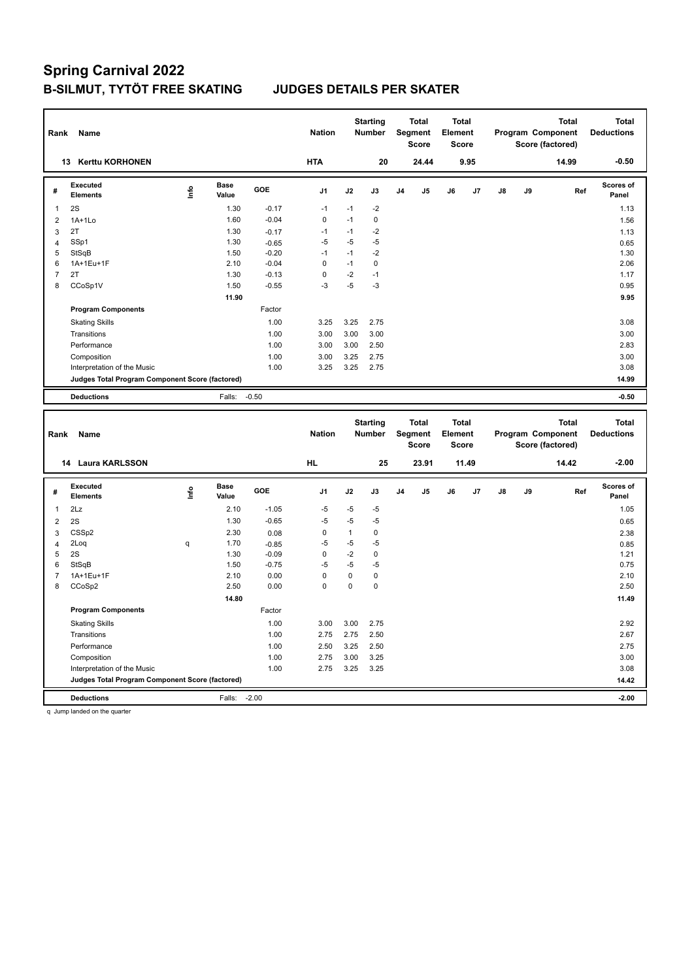| Rank                     | Name                                                                 |                                  |                      |         | <b>Nation</b>  |              | <b>Starting</b><br>Number        |                | <b>Total</b><br><b>Segment</b><br>Score | <b>Total</b><br>Element<br>Score |       |    |    | <b>Total</b><br>Program Component<br>Score (factored) | <b>Total</b><br><b>Deductions</b> |
|--------------------------|----------------------------------------------------------------------|----------------------------------|----------------------|---------|----------------|--------------|----------------------------------|----------------|-----------------------------------------|----------------------------------|-------|----|----|-------------------------------------------------------|-----------------------------------|
|                          | <b>Kerttu KORHONEN</b><br>13                                         |                                  |                      |         | <b>HTA</b>     |              | 20                               |                | 24.44                                   |                                  | 9.95  |    |    | 14.99                                                 | $-0.50$                           |
| #                        | <b>Executed</b><br><b>Elements</b>                                   | Info                             | <b>Base</b><br>Value | GOE     | J <sub>1</sub> | J2           | J3                               | J4             | J5                                      | J6                               | J7    | J8 | J9 | Ref                                                   | <b>Scores of</b><br>Panel         |
| 1                        | 2S                                                                   |                                  | 1.30                 | $-0.17$ | $-1$           | $-1$         | $-2$                             |                |                                         |                                  |       |    |    |                                                       | 1.13                              |
| $\overline{2}$           | $1A+1Lo$                                                             |                                  | 1.60                 | $-0.04$ | $\mathbf 0$    | $-1$         | $\mathbf 0$                      |                |                                         |                                  |       |    |    |                                                       | 1.56                              |
| 3                        | 2T                                                                   |                                  | 1.30                 | $-0.17$ | $-1$           | $-1$         | $-2$                             |                |                                         |                                  |       |    |    |                                                       | 1.13                              |
| $\overline{4}$           | SSp1                                                                 |                                  | 1.30                 | $-0.65$ | $-5$           | $-5$         | -5                               |                |                                         |                                  |       |    |    |                                                       | 0.65                              |
| 5                        | StSqB                                                                |                                  | 1.50                 | $-0.20$ | $-1$           | $-1$         | $-2$                             |                |                                         |                                  |       |    |    |                                                       | 1.30                              |
| 6                        | 1A+1Eu+1F                                                            |                                  | 2.10                 | $-0.04$ | $\mathbf 0$    | $-1$         | $\mathbf 0$                      |                |                                         |                                  |       |    |    |                                                       | 2.06                              |
| $\overline{\mathcal{I}}$ | 2T                                                                   |                                  | 1.30                 | $-0.13$ | $\pmb{0}$      | $-2$         | $-1$                             |                |                                         |                                  |       |    |    |                                                       | 1.17                              |
| 8                        | CCoSp1V                                                              |                                  | 1.50                 | $-0.55$ | $-3$           | $-5$         | $-3$                             |                |                                         |                                  |       |    |    |                                                       | 0.95                              |
|                          |                                                                      |                                  | 11.90                |         |                |              |                                  |                |                                         |                                  |       |    |    |                                                       | 9.95                              |
|                          | <b>Program Components</b>                                            |                                  |                      | Factor  |                |              |                                  |                |                                         |                                  |       |    |    |                                                       |                                   |
|                          | <b>Skating Skills</b>                                                |                                  |                      | 1.00    | 3.25           | 3.25         | 2.75                             |                |                                         |                                  |       |    |    |                                                       | 3.08                              |
|                          | Transitions                                                          |                                  |                      | 1.00    | 3.00           | 3.00         | 3.00                             |                |                                         |                                  |       |    |    |                                                       | 3.00                              |
|                          | Performance                                                          |                                  |                      | 1.00    | 3.00           | 3.00         | 2.50                             |                |                                         |                                  |       |    |    |                                                       | 2.83                              |
|                          | Composition                                                          |                                  |                      | 1.00    | 3.00           | 3.25         | 2.75                             |                |                                         |                                  |       |    |    |                                                       | 3.00                              |
|                          | Interpretation of the Music                                          |                                  |                      | 1.00    | 3.25           | 3.25         | 2.75                             |                |                                         |                                  |       |    |    |                                                       | 3.08<br>14.99                     |
|                          | Judges Total Program Component Score (factored)                      |                                  |                      |         |                |              |                                  |                |                                         |                                  |       |    |    |                                                       |                                   |
|                          | <b>Deductions</b>                                                    |                                  | Falls:               | $-0.50$ |                |              |                                  |                |                                         |                                  |       |    |    |                                                       | $-0.50$                           |
|                          |                                                                      |                                  |                      |         |                |              |                                  |                |                                         |                                  |       |    |    |                                                       |                                   |
| Rank                     | Name                                                                 |                                  |                      |         | <b>Nation</b>  |              | <b>Starting</b><br><b>Number</b> |                | <b>Total</b><br>Segment<br>Score        | <b>Total</b><br>Element<br>Score |       |    |    | <b>Total</b><br>Program Component<br>Score (factored) | <b>Total</b><br><b>Deductions</b> |
|                          | 14 Laura KARLSSON                                                    |                                  |                      |         | <b>HL</b>      |              | 25                               |                | 23.91                                   |                                  | 11.49 |    |    | 14.42                                                 | $-2.00$                           |
| #                        | <b>Executed</b><br><b>Elements</b>                                   | $\mathop{\mathsf{Irr}}\nolimits$ | <b>Base</b><br>Value | GOE     | J <sub>1</sub> | J2           | J3                               | J <sub>4</sub> | J5                                      | J6                               | J7    | J8 | J9 | Ref                                                   | <b>Scores of</b><br>Panel         |
| 1                        | 2Lz                                                                  |                                  | 2.10                 | $-1.05$ | $-5$           | $-5$         | $-5$                             |                |                                         |                                  |       |    |    |                                                       | 1.05                              |
| $\overline{2}$           | 2S                                                                   |                                  | 1.30                 | $-0.65$ | $-5$           | $-5$         | -5                               |                |                                         |                                  |       |    |    |                                                       | 0.65                              |
| 3                        | CSS <sub>p2</sub>                                                    |                                  | 2.30                 | 0.08    | $\mathbf 0$    | $\mathbf{1}$ | $\pmb{0}$                        |                |                                         |                                  |       |    |    |                                                       | 2.38                              |
| $\overline{4}$           | 2Loq                                                                 | q                                | 1.70                 | $-0.85$ | $-5$           | $-5$         | $-5$                             |                |                                         |                                  |       |    |    |                                                       | 0.85                              |
| 5                        | 2S                                                                   |                                  | 1.30                 | $-0.09$ | $\mathbf 0$    | $-2$         | $\mathbf 0$                      |                |                                         |                                  |       |    |    |                                                       | 1.21                              |
| 6                        | StSqB                                                                |                                  | 1.50                 | $-0.75$ | $-5$           | $-5$         | $-5$                             |                |                                         |                                  |       |    |    |                                                       | 0.75                              |
| $\overline{7}$           | 1A+1Eu+1F                                                            |                                  | 2.10                 | 0.00    | $\pmb{0}$      | $\pmb{0}$    | $\pmb{0}$                        |                |                                         |                                  |       |    |    |                                                       | 2.10                              |
| 8                        | CCoSp2                                                               |                                  | 2.50                 | 0.00    | $\mathbf 0$    | $\pmb{0}$    | $\mathbf 0$                      |                |                                         |                                  |       |    |    |                                                       | 2.50                              |
|                          |                                                                      |                                  | 14.80                |         |                |              |                                  |                |                                         |                                  |       |    |    |                                                       | 11.49                             |
|                          | <b>Program Components</b>                                            |                                  |                      | Factor  |                |              |                                  |                |                                         |                                  |       |    |    |                                                       |                                   |
|                          | <b>Skating Skills</b>                                                |                                  |                      | 1.00    | 3.00           | 3.00         | 2.75                             |                |                                         |                                  |       |    |    |                                                       | 2.92                              |
|                          | Transitions                                                          |                                  |                      | 1.00    | 2.75           | 2.75         | 2.50                             |                |                                         |                                  |       |    |    |                                                       | 2.67                              |
|                          | Performance                                                          |                                  |                      | 1.00    | 2.50           | 3.25         | 2.50                             |                |                                         |                                  |       |    |    |                                                       | 2.75                              |
|                          | Composition                                                          |                                  |                      | 1.00    | 2.75           | 3.00         | 3.25                             |                |                                         |                                  |       |    |    |                                                       | 3.00                              |
|                          | Interpretation of the Music                                          |                                  |                      | 1.00    | 2.75           | 3.25         | 3.25                             |                |                                         |                                  |       |    |    |                                                       | 3.08                              |
|                          | Judges Total Program Component Score (factored)<br><b>Deductions</b> |                                  | Falls:               | $-2.00$ |                |              |                                  |                |                                         |                                  |       |    |    |                                                       | 14.42<br>$-2.00$                  |

q Jump landed on the quarter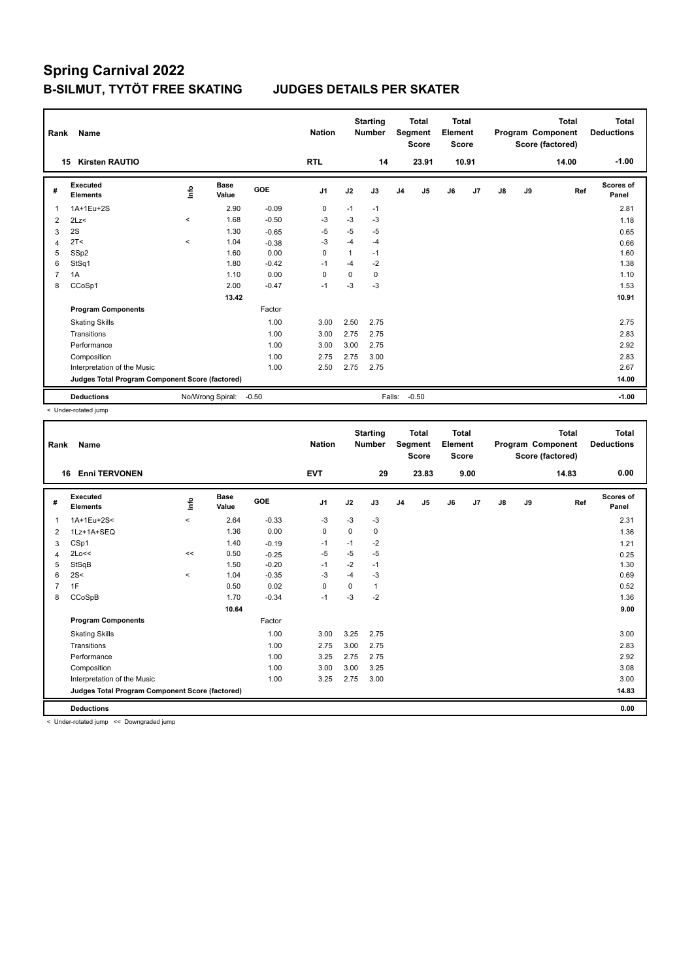| Rank           | Name                                            |         |                      |            | <b>Nation</b>  |          | <b>Starting</b><br><b>Number</b> |                | <b>Total</b><br>Segment<br><b>Score</b> | <b>Total</b><br>Element<br><b>Score</b> |       |               |    | <b>Total</b><br>Program Component<br>Score (factored) | Total<br><b>Deductions</b> |
|----------------|-------------------------------------------------|---------|----------------------|------------|----------------|----------|----------------------------------|----------------|-----------------------------------------|-----------------------------------------|-------|---------------|----|-------------------------------------------------------|----------------------------|
|                | <b>Kirsten RAUTIO</b><br>15                     |         |                      |            | <b>RTL</b>     |          | 14                               |                | 23.91                                   |                                         | 10.91 |               |    | 14.00                                                 | $-1.00$                    |
| #              | Executed<br><b>Elements</b>                     | lnfo    | <b>Base</b><br>Value | <b>GOE</b> | J <sub>1</sub> | J2       | J3                               | J <sub>4</sub> | J5                                      | J6                                      | J7    | $\mathsf{J}8$ | J9 | Ref                                                   | Scores of<br>Panel         |
| 1              | 1A+1Eu+2S                                       |         | 2.90                 | $-0.09$    | $\pmb{0}$      | $-1$     | $-1$                             |                |                                         |                                         |       |               |    |                                                       | 2.81                       |
| 2              | 2Lz                                             | $\prec$ | 1.68                 | $-0.50$    | $-3$           | $-3$     | $-3$                             |                |                                         |                                         |       |               |    |                                                       | 1.18                       |
| 3              | 2S                                              |         | 1.30                 | $-0.65$    | $-5$           | $-5$     | $-5$                             |                |                                         |                                         |       |               |    |                                                       | 0.65                       |
| 4              | 2T<                                             | $\prec$ | 1.04                 | $-0.38$    | $-3$           | $-4$     | $-4$                             |                |                                         |                                         |       |               |    |                                                       | 0.66                       |
| 5              | SSp2                                            |         | 1.60                 | 0.00       | $\Omega$       | 1        | $-1$                             |                |                                         |                                         |       |               |    |                                                       | 1.60                       |
| 6              | StSq1                                           |         | 1.80                 | $-0.42$    | $-1$           | $-4$     | $-2$                             |                |                                         |                                         |       |               |    |                                                       | 1.38                       |
| $\overline{7}$ | 1A                                              |         | 1.10                 | 0.00       | 0              | $\Omega$ | 0                                |                |                                         |                                         |       |               |    |                                                       | 1.10                       |
| 8              | CCoSp1                                          |         | 2.00                 | $-0.47$    | $-1$           | -3       | $-3$                             |                |                                         |                                         |       |               |    |                                                       | 1.53                       |
|                |                                                 |         | 13.42                |            |                |          |                                  |                |                                         |                                         |       |               |    |                                                       | 10.91                      |
|                | <b>Program Components</b>                       |         |                      | Factor     |                |          |                                  |                |                                         |                                         |       |               |    |                                                       |                            |
|                | <b>Skating Skills</b>                           |         |                      | 1.00       | 3.00           | 2.50     | 2.75                             |                |                                         |                                         |       |               |    |                                                       | 2.75                       |
|                | Transitions                                     |         |                      | 1.00       | 3.00           | 2.75     | 2.75                             |                |                                         |                                         |       |               |    |                                                       | 2.83                       |
|                | Performance                                     |         |                      | 1.00       | 3.00           | 3.00     | 2.75                             |                |                                         |                                         |       |               |    |                                                       | 2.92                       |
|                | Composition                                     |         |                      | 1.00       | 2.75           | 2.75     | 3.00                             |                |                                         |                                         |       |               |    |                                                       | 2.83                       |
|                | Interpretation of the Music                     |         |                      | 1.00       | 2.50           | 2.75     | 2.75                             |                |                                         |                                         |       |               |    |                                                       | 2.67                       |
|                | Judges Total Program Component Score (factored) |         |                      |            |                |          |                                  |                |                                         |                                         |       |               |    |                                                       | 14.00                      |
|                | <b>Deductions</b>                               |         | No/Wrong Spiral:     | $-0.50$    |                |          | Falls:                           |                | $-0.50$                                 |                                         |       |               |    |                                                       | $-1.00$                    |

< Under-rotated jump

| Rank | Name                                            |           |                      |         | <b>Nation</b> |      | <b>Starting</b><br><b>Number</b> |                | <b>Total</b><br>Segment<br><b>Score</b> | <b>Total</b><br>Element<br><b>Score</b> |      |               |    | Total<br>Program Component<br>Score (factored) | <b>Total</b><br><b>Deductions</b> |
|------|-------------------------------------------------|-----------|----------------------|---------|---------------|------|----------------------------------|----------------|-----------------------------------------|-----------------------------------------|------|---------------|----|------------------------------------------------|-----------------------------------|
| 16   | <b>Enni TERVONEN</b>                            |           |                      |         | <b>EVT</b>    |      | 29                               |                | 23.83                                   |                                         | 9.00 |               |    | 14.83                                          | 0.00                              |
| #    | Executed<br><b>Elements</b>                     | ۴         | <b>Base</b><br>Value | GOE     | J1            | J2   | J3                               | J <sub>4</sub> | J5                                      | J6                                      | J7   | $\mathsf{J}8$ | J9 | Ref                                            | <b>Scores of</b><br>Panel         |
| 1    | 1A+1Eu+2S<                                      | $\hat{}$  | 2.64                 | $-0.33$ | -3            | $-3$ | $-3$                             |                |                                         |                                         |      |               |    |                                                | 2.31                              |
| 2    | 1Lz+1A+SEQ                                      |           | 1.36                 | 0.00    | 0             | 0    | 0                                |                |                                         |                                         |      |               |    |                                                | 1.36                              |
| 3    | CSp1                                            |           | 1.40                 | $-0.19$ | -1            | $-1$ | $-2$                             |                |                                         |                                         |      |               |    |                                                | 1.21                              |
| 4    | 2Lo<<                                           | $\,<$     | 0.50                 | $-0.25$ | -5            | $-5$ | $-5$                             |                |                                         |                                         |      |               |    |                                                | 0.25                              |
| 5    | StSqB                                           |           | 1.50                 | $-0.20$ | $-1$          | $-2$ | $-1$                             |                |                                         |                                         |      |               |    |                                                | 1.30                              |
| 6    | 2S<                                             | $\hat{~}$ | 1.04                 | $-0.35$ | -3            | $-4$ | $-3$                             |                |                                         |                                         |      |               |    |                                                | 0.69                              |
|      | 1F                                              |           | 0.50                 | 0.02    | 0             | 0    | 1                                |                |                                         |                                         |      |               |    |                                                | 0.52                              |
| 8    | CCoSpB                                          |           | 1.70                 | $-0.34$ | $-1$          | $-3$ | $-2$                             |                |                                         |                                         |      |               |    |                                                | 1.36                              |
|      |                                                 |           | 10.64                |         |               |      |                                  |                |                                         |                                         |      |               |    |                                                | 9.00                              |
|      | <b>Program Components</b>                       |           |                      | Factor  |               |      |                                  |                |                                         |                                         |      |               |    |                                                |                                   |
|      | <b>Skating Skills</b>                           |           |                      | 1.00    | 3.00          | 3.25 | 2.75                             |                |                                         |                                         |      |               |    |                                                | 3.00                              |
|      | Transitions                                     |           |                      | 1.00    | 2.75          | 3.00 | 2.75                             |                |                                         |                                         |      |               |    |                                                | 2.83                              |
|      | Performance                                     |           |                      | 1.00    | 3.25          | 2.75 | 2.75                             |                |                                         |                                         |      |               |    |                                                | 2.92                              |
|      | Composition                                     |           |                      | 1.00    | 3.00          | 3.00 | 3.25                             |                |                                         |                                         |      |               |    |                                                | 3.08                              |
|      | Interpretation of the Music                     |           |                      | 1.00    | 3.25          | 2.75 | 3.00                             |                |                                         |                                         |      |               |    |                                                | 3.00                              |
|      | Judges Total Program Component Score (factored) |           |                      |         |               |      |                                  |                |                                         |                                         |      |               |    |                                                | 14.83                             |
|      | <b>Deductions</b>                               |           |                      |         |               |      |                                  |                |                                         |                                         |      |               |    |                                                | 0.00                              |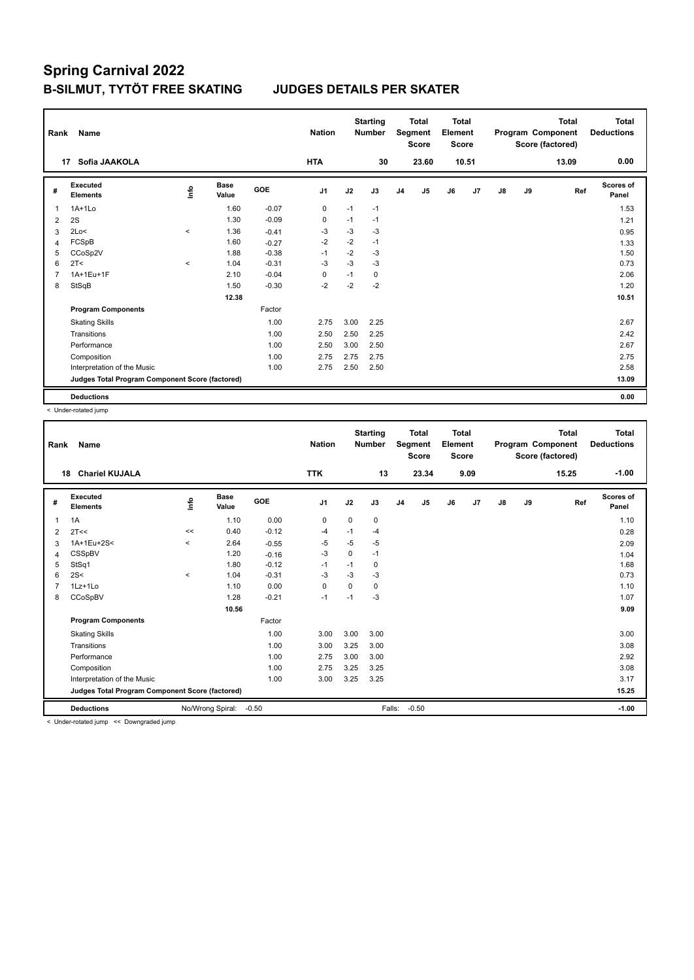| Rank           | Name                                            |         |                      |            | <b>Nation</b> |      | <b>Starting</b><br><b>Number</b> |                | <b>Total</b><br>Segment<br><b>Score</b> | <b>Total</b><br>Element<br><b>Score</b> |       |    |    | <b>Total</b><br>Program Component<br>Score (factored) | Total<br><b>Deductions</b> |
|----------------|-------------------------------------------------|---------|----------------------|------------|---------------|------|----------------------------------|----------------|-----------------------------------------|-----------------------------------------|-------|----|----|-------------------------------------------------------|----------------------------|
|                | Sofia JAAKOLA<br>17                             |         |                      |            | <b>HTA</b>    |      | 30                               |                | 23.60                                   |                                         | 10.51 |    |    | 13.09                                                 | 0.00                       |
| #              | <b>Executed</b><br><b>Elements</b>              | lnfo    | <b>Base</b><br>Value | <b>GOE</b> | J1            | J2   | J3                               | J <sub>4</sub> | J5                                      | J6                                      | J7    | J8 | J9 | Ref                                                   | <b>Scores of</b><br>Panel  |
| 1              | $1A+1Lo$                                        |         | 1.60                 | $-0.07$    | 0             | $-1$ | $-1$                             |                |                                         |                                         |       |    |    |                                                       | 1.53                       |
| 2              | 2S                                              |         | 1.30                 | $-0.09$    | 0             | $-1$ | $-1$                             |                |                                         |                                         |       |    |    |                                                       | 1.21                       |
| 3              | 2Lo<                                            | $\prec$ | 1.36                 | $-0.41$    | -3            | $-3$ | $-3$                             |                |                                         |                                         |       |    |    |                                                       | 0.95                       |
| 4              | FCSpB                                           |         | 1.60                 | $-0.27$    | $-2$          | $-2$ | $-1$                             |                |                                         |                                         |       |    |    |                                                       | 1.33                       |
| 5              | CCoSp2V                                         |         | 1.88                 | $-0.38$    | $-1$          | $-2$ | $-3$                             |                |                                         |                                         |       |    |    |                                                       | 1.50                       |
| 6              | 2T <                                            | $\prec$ | 1.04                 | $-0.31$    | $-3$          | $-3$ | $-3$                             |                |                                         |                                         |       |    |    |                                                       | 0.73                       |
| $\overline{7}$ | 1A+1Eu+1F                                       |         | 2.10                 | $-0.04$    | 0             | $-1$ | 0                                |                |                                         |                                         |       |    |    |                                                       | 2.06                       |
| 8              | StSqB                                           |         | 1.50                 | $-0.30$    | $-2$          | $-2$ | $-2$                             |                |                                         |                                         |       |    |    |                                                       | 1.20                       |
|                |                                                 |         | 12.38                |            |               |      |                                  |                |                                         |                                         |       |    |    |                                                       | 10.51                      |
|                | <b>Program Components</b>                       |         |                      | Factor     |               |      |                                  |                |                                         |                                         |       |    |    |                                                       |                            |
|                | <b>Skating Skills</b>                           |         |                      | 1.00       | 2.75          | 3.00 | 2.25                             |                |                                         |                                         |       |    |    |                                                       | 2.67                       |
|                | Transitions                                     |         |                      | 1.00       | 2.50          | 2.50 | 2.25                             |                |                                         |                                         |       |    |    |                                                       | 2.42                       |
|                | Performance                                     |         |                      | 1.00       | 2.50          | 3.00 | 2.50                             |                |                                         |                                         |       |    |    |                                                       | 2.67                       |
|                | Composition                                     |         |                      | 1.00       | 2.75          | 2.75 | 2.75                             |                |                                         |                                         |       |    |    |                                                       | 2.75                       |
|                | Interpretation of the Music                     |         |                      | 1.00       | 2.75          | 2.50 | 2.50                             |                |                                         |                                         |       |    |    |                                                       | 2.58                       |
|                | Judges Total Program Component Score (factored) |         |                      |            |               |      |                                  |                |                                         |                                         |       |    |    |                                                       | 13.09                      |
|                | <b>Deductions</b>                               |         |                      |            |               |      |                                  |                |                                         |                                         |       |    |    |                                                       | 0.00                       |

< Under-rotated jump

| Rank | Name                                            |          |                      |         | <b>Nation</b>  |      | <b>Starting</b><br><b>Number</b> |                | <b>Total</b><br>Segment<br><b>Score</b> | <b>Total</b><br>Element<br>Score |      |               |    | <b>Total</b><br>Program Component<br>Score (factored) | <b>Total</b><br><b>Deductions</b> |
|------|-------------------------------------------------|----------|----------------------|---------|----------------|------|----------------------------------|----------------|-----------------------------------------|----------------------------------|------|---------------|----|-------------------------------------------------------|-----------------------------------|
|      | <b>Chariel KUJALA</b><br>18                     |          |                      |         | <b>TTK</b>     |      | 13                               |                | 23.34                                   |                                  | 9.09 |               |    | 15.25                                                 | $-1.00$                           |
| #    | Executed<br><b>Elements</b>                     | lnfo     | <b>Base</b><br>Value | GOE     | J <sub>1</sub> | J2   | J3                               | J <sub>4</sub> | J <sub>5</sub>                          | J6                               | J7   | $\mathsf{J}8$ | J9 | Ref                                                   | <b>Scores of</b><br>Panel         |
| 1    | 1A                                              |          | 1.10                 | 0.00    | 0              | 0    | 0                                |                |                                         |                                  |      |               |    |                                                       | 1.10                              |
| 2    | 2T<<                                            | <<       | 0.40                 | $-0.12$ | -4             | $-1$ | $-4$                             |                |                                         |                                  |      |               |    |                                                       | 0.28                              |
| 3    | 1A+1Eu+2S<                                      | $\hat{}$ | 2.64                 | $-0.55$ | $-5$           | $-5$ | $-5$                             |                |                                         |                                  |      |               |    |                                                       | 2.09                              |
| 4    | CSSpBV                                          |          | 1.20                 | $-0.16$ | $-3$           | 0    | $-1$                             |                |                                         |                                  |      |               |    |                                                       | 1.04                              |
| 5    | StSq1                                           |          | 1.80                 | $-0.12$ | $-1$           | $-1$ | 0                                |                |                                         |                                  |      |               |    |                                                       | 1.68                              |
| 6    | 2S<                                             | $\,<\,$  | 1.04                 | $-0.31$ | $-3$           | $-3$ | $-3$                             |                |                                         |                                  |      |               |    |                                                       | 0.73                              |
|      | 1Lz+1Lo                                         |          | 1.10                 | 0.00    | 0              | 0    | $\Omega$                         |                |                                         |                                  |      |               |    |                                                       | 1.10                              |
| 8    | CCoSpBV                                         |          | 1.28                 | $-0.21$ | $-1$           | $-1$ | $-3$                             |                |                                         |                                  |      |               |    |                                                       | 1.07                              |
|      |                                                 |          | 10.56                |         |                |      |                                  |                |                                         |                                  |      |               |    |                                                       | 9.09                              |
|      | <b>Program Components</b>                       |          |                      | Factor  |                |      |                                  |                |                                         |                                  |      |               |    |                                                       |                                   |
|      | <b>Skating Skills</b>                           |          |                      | 1.00    | 3.00           | 3.00 | 3.00                             |                |                                         |                                  |      |               |    |                                                       | 3.00                              |
|      | Transitions                                     |          |                      | 1.00    | 3.00           | 3.25 | 3.00                             |                |                                         |                                  |      |               |    |                                                       | 3.08                              |
|      | Performance                                     |          |                      | 1.00    | 2.75           | 3.00 | 3.00                             |                |                                         |                                  |      |               |    |                                                       | 2.92                              |
|      | Composition                                     |          |                      | 1.00    | 2.75           | 3.25 | 3.25                             |                |                                         |                                  |      |               |    |                                                       | 3.08                              |
|      | Interpretation of the Music                     |          |                      | 1.00    | 3.00           | 3.25 | 3.25                             |                |                                         |                                  |      |               |    |                                                       | 3.17                              |
|      | Judges Total Program Component Score (factored) |          |                      |         |                |      |                                  |                |                                         |                                  |      |               |    |                                                       | 15.25                             |
|      | <b>Deductions</b>                               |          | No/Wrong Spiral:     | $-0.50$ |                |      | Falls:                           |                | $-0.50$                                 |                                  |      |               |    |                                                       | $-1.00$                           |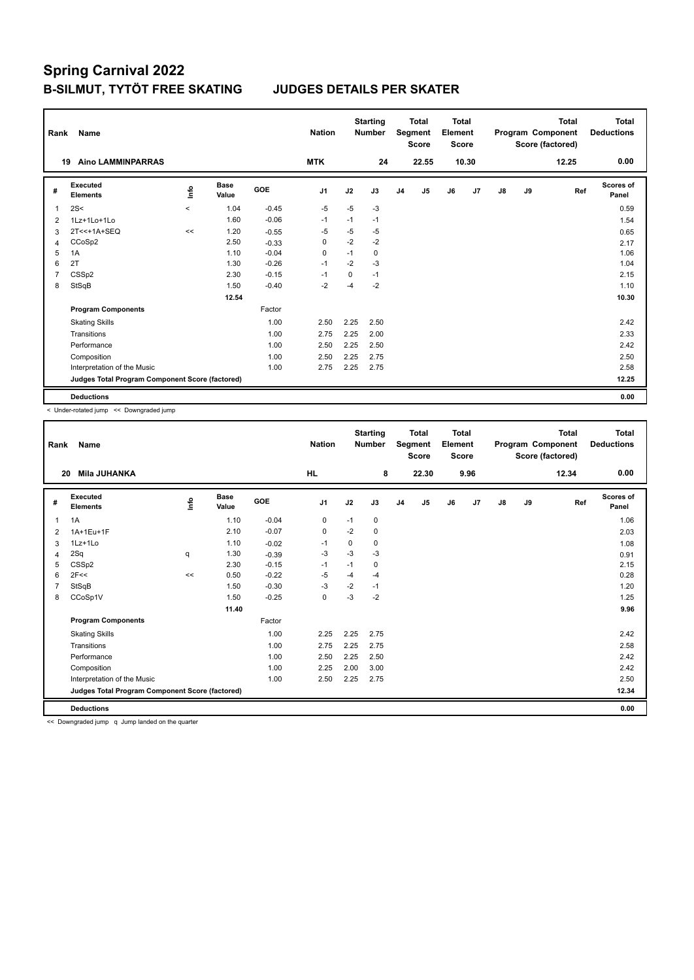| Rank           | Name                                            |         |                      |            | <b>Nation</b>  |      | <b>Starting</b><br><b>Number</b> |                | Total<br>Segment<br><b>Score</b> | <b>Total</b><br>Element<br><b>Score</b> |       |               |    | <b>Total</b><br>Program Component<br>Score (factored) | Total<br><b>Deductions</b> |
|----------------|-------------------------------------------------|---------|----------------------|------------|----------------|------|----------------------------------|----------------|----------------------------------|-----------------------------------------|-------|---------------|----|-------------------------------------------------------|----------------------------|
|                | <b>Aino LAMMINPARRAS</b><br>19                  |         |                      |            | <b>MTK</b>     |      | 24                               |                | 22.55                            |                                         | 10.30 |               |    | 12.25                                                 | 0.00                       |
| #              | Executed<br><b>Elements</b>                     | info    | <b>Base</b><br>Value | <b>GOE</b> | J <sub>1</sub> | J2   | J3                               | J <sub>4</sub> | J5                               | J6                                      | J7    | $\mathsf{J}8$ | J9 | Ref                                                   | <b>Scores of</b><br>Panel  |
| $\overline{1}$ | 2S<                                             | $\prec$ | 1.04                 | $-0.45$    | $-5$           | $-5$ | $-3$                             |                |                                  |                                         |       |               |    |                                                       | 0.59                       |
| 2              | 1Lz+1Lo+1Lo                                     |         | 1.60                 | $-0.06$    | $-1$           | $-1$ | $-1$                             |                |                                  |                                         |       |               |    |                                                       | 1.54                       |
| 3              | 2T<<+1A+SEQ                                     | <<      | 1.20                 | $-0.55$    | $-5$           | -5   | $-5$                             |                |                                  |                                         |       |               |    |                                                       | 0.65                       |
| 4              | CCoSp2                                          |         | 2.50                 | $-0.33$    | 0              | $-2$ | $-2$                             |                |                                  |                                         |       |               |    |                                                       | 2.17                       |
| 5              | 1A                                              |         | 1.10                 | $-0.04$    | 0              | $-1$ | 0                                |                |                                  |                                         |       |               |    |                                                       | 1.06                       |
| 6              | 2T                                              |         | 1.30                 | $-0.26$    | $-1$           | $-2$ | $-3$                             |                |                                  |                                         |       |               |    |                                                       | 1.04                       |
| $\overline{7}$ | CSS <sub>p2</sub>                               |         | 2.30                 | $-0.15$    | $-1$           | 0    | $-1$                             |                |                                  |                                         |       |               |    |                                                       | 2.15                       |
| 8              | StSqB                                           |         | 1.50                 | $-0.40$    | $-2$           | $-4$ | $-2$                             |                |                                  |                                         |       |               |    |                                                       | 1.10                       |
|                |                                                 |         | 12.54                |            |                |      |                                  |                |                                  |                                         |       |               |    |                                                       | 10.30                      |
|                | <b>Program Components</b>                       |         |                      | Factor     |                |      |                                  |                |                                  |                                         |       |               |    |                                                       |                            |
|                | <b>Skating Skills</b>                           |         |                      | 1.00       | 2.50           | 2.25 | 2.50                             |                |                                  |                                         |       |               |    |                                                       | 2.42                       |
|                | Transitions                                     |         |                      | 1.00       | 2.75           | 2.25 | 2.00                             |                |                                  |                                         |       |               |    |                                                       | 2.33                       |
|                | Performance                                     |         |                      | 1.00       | 2.50           | 2.25 | 2.50                             |                |                                  |                                         |       |               |    |                                                       | 2.42                       |
|                | Composition                                     |         |                      | 1.00       | 2.50           | 2.25 | 2.75                             |                |                                  |                                         |       |               |    |                                                       | 2.50                       |
|                | Interpretation of the Music                     |         |                      | 1.00       | 2.75           | 2.25 | 2.75                             |                |                                  |                                         |       |               |    |                                                       | 2.58                       |
|                | Judges Total Program Component Score (factored) |         |                      |            |                |      |                                  |                |                                  |                                         |       |               |    |                                                       | 12.25                      |
|                | <b>Deductions</b>                               |         |                      |            |                |      |                                  |                |                                  |                                         |       |               |    |                                                       | 0.00                       |

< Under-rotated jump << Downgraded jump

| Rank | <b>Name</b>                                     |    |                      |         | <b>Nation</b>  |             | <b>Starting</b><br><b>Number</b> |                | <b>Total</b><br>Segment<br><b>Score</b> | <b>Total</b><br>Element<br><b>Score</b> |                |               |    | <b>Total</b><br>Program Component<br>Score (factored) | <b>Total</b><br><b>Deductions</b> |
|------|-------------------------------------------------|----|----------------------|---------|----------------|-------------|----------------------------------|----------------|-----------------------------------------|-----------------------------------------|----------------|---------------|----|-------------------------------------------------------|-----------------------------------|
| 20   | Mila JUHANKA                                    |    |                      |         | <b>HL</b>      |             | 8                                |                | 22.30                                   |                                         | 9.96           |               |    | 12.34                                                 | 0.00                              |
| #    | Executed<br><b>Elements</b>                     | ۴٥ | <b>Base</b><br>Value | GOE     | J <sub>1</sub> | J2          | J3                               | J <sub>4</sub> | J5                                      | J6                                      | J <sub>7</sub> | $\mathsf{J}8$ | J9 | Ref                                                   | Scores of<br>Panel                |
| 1    | 1A                                              |    | 1.10                 | $-0.04$ | 0              | $-1$        | 0                                |                |                                         |                                         |                |               |    |                                                       | 1.06                              |
| 2    | 1A+1Eu+1F                                       |    | 2.10                 | $-0.07$ | $\mathbf 0$    | $-2$        | 0                                |                |                                         |                                         |                |               |    |                                                       | 2.03                              |
| 3    | 1Lz+1Lo                                         |    | 1.10                 | $-0.02$ | -1             | $\mathbf 0$ | 0                                |                |                                         |                                         |                |               |    |                                                       | 1.08                              |
| 4    | 2Sq                                             | q  | 1.30                 | $-0.39$ | -3             | $-3$        | $-3$                             |                |                                         |                                         |                |               |    |                                                       | 0.91                              |
| 5    | CSSp2                                           |    | 2.30                 | $-0.15$ | $-1$           | $-1$        | 0                                |                |                                         |                                         |                |               |    |                                                       | 2.15                              |
| 6    | 2F<<                                            | << | 0.50                 | $-0.22$ | $-5$           | $-4$        | $-4$                             |                |                                         |                                         |                |               |    |                                                       | 0.28                              |
|      | StSqB                                           |    | 1.50                 | $-0.30$ | -3             | $-2$        | $-1$                             |                |                                         |                                         |                |               |    |                                                       | 1.20                              |
| 8    | CCoSp1V                                         |    | 1.50                 | $-0.25$ | 0              | $-3$        | $-2$                             |                |                                         |                                         |                |               |    |                                                       | 1.25                              |
|      |                                                 |    | 11.40                |         |                |             |                                  |                |                                         |                                         |                |               |    |                                                       | 9.96                              |
|      | <b>Program Components</b>                       |    |                      | Factor  |                |             |                                  |                |                                         |                                         |                |               |    |                                                       |                                   |
|      | <b>Skating Skills</b>                           |    |                      | 1.00    | 2.25           | 2.25        | 2.75                             |                |                                         |                                         |                |               |    |                                                       | 2.42                              |
|      | Transitions                                     |    |                      | 1.00    | 2.75           | 2.25        | 2.75                             |                |                                         |                                         |                |               |    |                                                       | 2.58                              |
|      | Performance                                     |    |                      | 1.00    | 2.50           | 2.25        | 2.50                             |                |                                         |                                         |                |               |    |                                                       | 2.42                              |
|      | Composition                                     |    |                      | 1.00    | 2.25           | 2.00        | 3.00                             |                |                                         |                                         |                |               |    |                                                       | 2.42                              |
|      | Interpretation of the Music                     |    |                      | 1.00    | 2.50           | 2.25        | 2.75                             |                |                                         |                                         |                |               |    |                                                       | 2.50                              |
|      | Judges Total Program Component Score (factored) |    |                      |         |                |             |                                  |                |                                         |                                         |                |               |    |                                                       | 12.34                             |
|      | <b>Deductions</b>                               |    |                      |         |                |             |                                  |                |                                         |                                         |                |               |    |                                                       | 0.00                              |

<< Downgraded jump q Jump landed on the quarter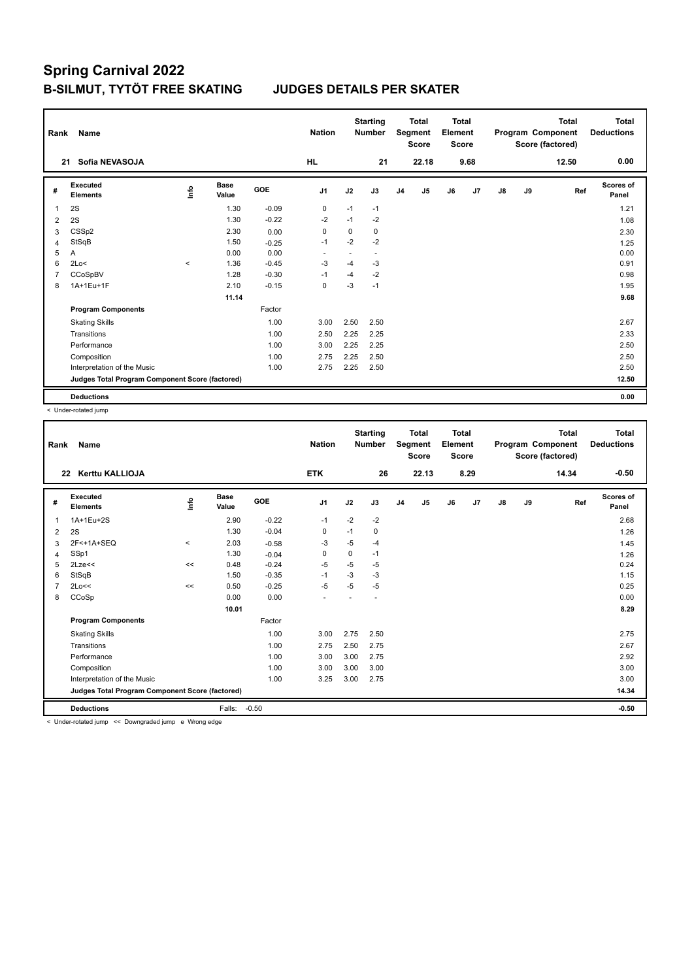| Rank           | Name                                            |         |                      |            | <b>Nation</b>  |      | <b>Starting</b><br><b>Number</b> |                | <b>Total</b><br>Segment<br><b>Score</b> | <b>Total</b><br>Element<br><b>Score</b> |                |    |    | <b>Total</b><br>Program Component<br>Score (factored) | Total<br><b>Deductions</b> |
|----------------|-------------------------------------------------|---------|----------------------|------------|----------------|------|----------------------------------|----------------|-----------------------------------------|-----------------------------------------|----------------|----|----|-------------------------------------------------------|----------------------------|
|                | Sofia NEVASOJA<br>21                            |         |                      |            | <b>HL</b>      |      | 21                               |                | 22.18                                   |                                         | 9.68           |    |    | 12.50                                                 | 0.00                       |
| #              | Executed<br><b>Elements</b>                     | ١nfo    | <b>Base</b><br>Value | <b>GOE</b> | J <sub>1</sub> | J2   | J3                               | J <sub>4</sub> | J <sub>5</sub>                          | J6                                      | J <sub>7</sub> | J8 | J9 | Ref                                                   | <b>Scores of</b><br>Panel  |
| 1              | 2S                                              |         | 1.30                 | $-0.09$    | 0              | $-1$ | $-1$                             |                |                                         |                                         |                |    |    |                                                       | 1.21                       |
| 2              | 2S                                              |         | 1.30                 | $-0.22$    | $-2$           | $-1$ | $-2$                             |                |                                         |                                         |                |    |    |                                                       | 1.08                       |
| 3              | CSS <sub>p2</sub>                               |         | 2.30                 | 0.00       | 0              | 0    | 0                                |                |                                         |                                         |                |    |    |                                                       | 2.30                       |
| $\overline{4}$ | StSqB                                           |         | 1.50                 | $-0.25$    | $-1$           | $-2$ | $-2$                             |                |                                         |                                         |                |    |    |                                                       | 1.25                       |
| 5              | A                                               |         | 0.00                 | 0.00       | ٠              | ٠    | $\overline{\phantom{a}}$         |                |                                         |                                         |                |    |    |                                                       | 0.00                       |
| 6              | 2Lo<                                            | $\,<\,$ | 1.36                 | $-0.45$    | $-3$           | $-4$ | $-3$                             |                |                                         |                                         |                |    |    |                                                       | 0.91                       |
| $\overline{7}$ | CCoSpBV                                         |         | 1.28                 | $-0.30$    | $-1$           | $-4$ | $-2$                             |                |                                         |                                         |                |    |    |                                                       | 0.98                       |
| 8              | 1A+1Eu+1F                                       |         | 2.10                 | $-0.15$    | 0              | $-3$ | $-1$                             |                |                                         |                                         |                |    |    |                                                       | 1.95                       |
|                |                                                 |         | 11.14                |            |                |      |                                  |                |                                         |                                         |                |    |    |                                                       | 9.68                       |
|                | <b>Program Components</b>                       |         |                      | Factor     |                |      |                                  |                |                                         |                                         |                |    |    |                                                       |                            |
|                | <b>Skating Skills</b>                           |         |                      | 1.00       | 3.00           | 2.50 | 2.50                             |                |                                         |                                         |                |    |    |                                                       | 2.67                       |
|                | Transitions                                     |         |                      | 1.00       | 2.50           | 2.25 | 2.25                             |                |                                         |                                         |                |    |    |                                                       | 2.33                       |
|                | Performance                                     |         |                      | 1.00       | 3.00           | 2.25 | 2.25                             |                |                                         |                                         |                |    |    |                                                       | 2.50                       |
|                | Composition                                     |         |                      | 1.00       | 2.75           | 2.25 | 2.50                             |                |                                         |                                         |                |    |    |                                                       | 2.50                       |
|                | Interpretation of the Music                     |         |                      | 1.00       | 2.75           | 2.25 | 2.50                             |                |                                         |                                         |                |    |    |                                                       | 2.50                       |
|                | Judges Total Program Component Score (factored) |         |                      |            |                |      |                                  |                |                                         |                                         |                |    |    |                                                       | 12.50                      |
|                | <b>Deductions</b>                               |         |                      |            |                |      |                                  |                |                                         |                                         |                |    |    |                                                       | 0.00                       |

< Under-rotated jump

| Rank | <b>Name</b>                                     |            |                      |         | <b>Nation</b>  |             | <b>Starting</b><br><b>Number</b> |                | <b>Total</b><br>Segment<br><b>Score</b> | Total<br>Element<br><b>Score</b> |      |    |    | <b>Total</b><br>Program Component<br>Score (factored) | <b>Total</b><br><b>Deductions</b> |
|------|-------------------------------------------------|------------|----------------------|---------|----------------|-------------|----------------------------------|----------------|-----------------------------------------|----------------------------------|------|----|----|-------------------------------------------------------|-----------------------------------|
|      | Kerttu KALLIOJA<br>22                           |            |                      |         | <b>ETK</b>     |             | 26                               |                | 22.13                                   |                                  | 8.29 |    |    | 14.34                                                 | $-0.50$                           |
| #    | Executed<br><b>Elements</b>                     | <b>Lin</b> | <b>Base</b><br>Value | GOE     | J <sub>1</sub> | J2          | J3                               | J <sub>4</sub> | J <sub>5</sub>                          | J6                               | J7   | J8 | J9 | Ref                                                   | Scores of<br>Panel                |
| 1    | 1A+1Eu+2S                                       |            | 2.90                 | $-0.22$ | $-1$           | $-2$        | $-2$                             |                |                                         |                                  |      |    |    |                                                       | 2.68                              |
| 2    | 2S                                              |            | 1.30                 | $-0.04$ | 0              | $-1$        | 0                                |                |                                         |                                  |      |    |    |                                                       | 1.26                              |
| 3    | 2F<+1A+SEQ                                      | $\hat{}$   | 2.03                 | $-0.58$ | $-3$           | $-5$        | $-4$                             |                |                                         |                                  |      |    |    |                                                       | 1.45                              |
| 4    | SSp1                                            |            | 1.30                 | $-0.04$ | 0              | $\mathbf 0$ | $-1$                             |                |                                         |                                  |      |    |    |                                                       | 1.26                              |
| 5    | 2Lze<<                                          | <<         | 0.48                 | $-0.24$ | $-5$           | $-5$        | $-5$                             |                |                                         |                                  |      |    |    |                                                       | 0.24                              |
| 6    | StSqB                                           |            | 1.50                 | $-0.35$ | $-1$           | $-3$        | $-3$                             |                |                                         |                                  |      |    |    |                                                       | 1.15                              |
|      | 2Lo<<                                           | <<         | 0.50                 | $-0.25$ | $-5$           | $-5$        | $-5$                             |                |                                         |                                  |      |    |    |                                                       | 0.25                              |
| 8    | CCoSp                                           |            | 0.00                 | 0.00    |                |             |                                  |                |                                         |                                  |      |    |    |                                                       | 0.00                              |
|      |                                                 |            | 10.01                |         |                |             |                                  |                |                                         |                                  |      |    |    |                                                       | 8.29                              |
|      | <b>Program Components</b>                       |            |                      | Factor  |                |             |                                  |                |                                         |                                  |      |    |    |                                                       |                                   |
|      | <b>Skating Skills</b>                           |            |                      | 1.00    | 3.00           | 2.75        | 2.50                             |                |                                         |                                  |      |    |    |                                                       | 2.75                              |
|      | Transitions                                     |            |                      | 1.00    | 2.75           | 2.50        | 2.75                             |                |                                         |                                  |      |    |    |                                                       | 2.67                              |
|      | Performance                                     |            |                      | 1.00    | 3.00           | 3.00        | 2.75                             |                |                                         |                                  |      |    |    |                                                       | 2.92                              |
|      | Composition                                     |            |                      | 1.00    | 3.00           | 3.00        | 3.00                             |                |                                         |                                  |      |    |    |                                                       | 3.00                              |
|      | Interpretation of the Music                     |            |                      | 1.00    | 3.25           | 3.00        | 2.75                             |                |                                         |                                  |      |    |    |                                                       | 3.00                              |
|      | Judges Total Program Component Score (factored) |            |                      |         |                |             |                                  |                |                                         |                                  |      |    |    |                                                       | 14.34                             |
|      | <b>Deductions</b>                               |            | Falls:               | $-0.50$ |                |             |                                  |                |                                         |                                  |      |    |    |                                                       | $-0.50$                           |

< Under-rotated jump << Downgraded jump e Wrong edge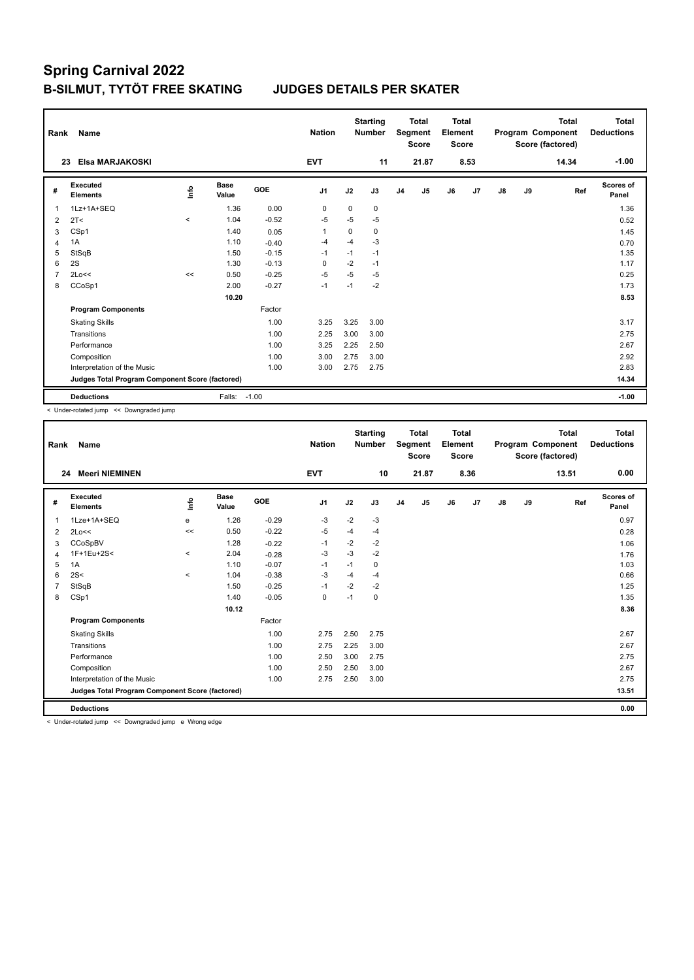| Rank           | Name                                            |         |                      |         | <b>Nation</b>  |          | <b>Starting</b><br><b>Number</b> |                | <b>Total</b><br>Segment<br><b>Score</b> | Total<br>Element<br><b>Score</b> |      |    |    | <b>Total</b><br>Program Component<br>Score (factored) | <b>Total</b><br><b>Deductions</b> |
|----------------|-------------------------------------------------|---------|----------------------|---------|----------------|----------|----------------------------------|----------------|-----------------------------------------|----------------------------------|------|----|----|-------------------------------------------------------|-----------------------------------|
|                | Elsa MARJAKOSKI<br>23                           |         |                      |         | <b>EVT</b>     |          | 11                               |                | 21.87                                   |                                  | 8.53 |    |    | 14.34                                                 | $-1.00$                           |
| #              | Executed<br><b>Elements</b>                     | ١nfo    | <b>Base</b><br>Value | GOE     | J <sub>1</sub> | J2       | J3                               | J <sub>4</sub> | J5                                      | J6                               | J7   | J8 | J9 | Ref                                                   | Scores of<br>Panel                |
| $\mathbf{1}$   | 1Lz+1A+SEQ                                      |         | 1.36                 | 0.00    | 0              | $\Omega$ | 0                                |                |                                         |                                  |      |    |    |                                                       | 1.36                              |
| 2              | 2T <                                            | $\prec$ | 1.04                 | $-0.52$ | -5             | $-5$     | $-5$                             |                |                                         |                                  |      |    |    |                                                       | 0.52                              |
| 3              | CSp1                                            |         | 1.40                 | 0.05    | $\overline{1}$ | $\Omega$ | 0                                |                |                                         |                                  |      |    |    |                                                       | 1.45                              |
| 4              | 1A                                              |         | 1.10                 | $-0.40$ | -4             | $-4$     | $-3$                             |                |                                         |                                  |      |    |    |                                                       | 0.70                              |
| 5              | StSqB                                           |         | 1.50                 | $-0.15$ | $-1$           | $-1$     | $-1$                             |                |                                         |                                  |      |    |    |                                                       | 1.35                              |
| 6              | 2S                                              |         | 1.30                 | $-0.13$ | $\Omega$       | $-2$     | $-1$                             |                |                                         |                                  |      |    |    |                                                       | 1.17                              |
| $\overline{7}$ | 2Lo<<                                           | <<      | 0.50                 | $-0.25$ | $-5$           | $-5$     | $-5$                             |                |                                         |                                  |      |    |    |                                                       | 0.25                              |
| 8              | CCoSp1                                          |         | 2.00                 | $-0.27$ | $-1$           | $-1$     | $-2$                             |                |                                         |                                  |      |    |    |                                                       | 1.73                              |
|                |                                                 |         | 10.20                |         |                |          |                                  |                |                                         |                                  |      |    |    |                                                       | 8.53                              |
|                | <b>Program Components</b>                       |         |                      | Factor  |                |          |                                  |                |                                         |                                  |      |    |    |                                                       |                                   |
|                | <b>Skating Skills</b>                           |         |                      | 1.00    | 3.25           | 3.25     | 3.00                             |                |                                         |                                  |      |    |    |                                                       | 3.17                              |
|                | Transitions                                     |         |                      | 1.00    | 2.25           | 3.00     | 3.00                             |                |                                         |                                  |      |    |    |                                                       | 2.75                              |
|                | Performance                                     |         |                      | 1.00    | 3.25           | 2.25     | 2.50                             |                |                                         |                                  |      |    |    |                                                       | 2.67                              |
|                | Composition                                     |         |                      | 1.00    | 3.00           | 2.75     | 3.00                             |                |                                         |                                  |      |    |    |                                                       | 2.92                              |
|                | Interpretation of the Music                     |         |                      | 1.00    | 3.00           | 2.75     | 2.75                             |                |                                         |                                  |      |    |    |                                                       | 2.83                              |
|                | Judges Total Program Component Score (factored) |         |                      |         |                |          |                                  |                |                                         |                                  |      |    |    |                                                       | 14.34                             |
|                | <b>Deductions</b>                               |         | Falls:               | $-1.00$ |                |          |                                  |                |                                         |                                  |      |    |    |                                                       | $-1.00$                           |

< Under-rotated jump << Downgraded jump

| Rank | <b>Name</b>                                     |             |               |         | <b>Nation</b>  |      | <b>Starting</b><br><b>Number</b> |                | <b>Total</b><br>Segment<br><b>Score</b> | <b>Total</b><br>Element<br><b>Score</b> |      |               |    | <b>Total</b><br>Program Component<br>Score (factored) | <b>Total</b><br><b>Deductions</b> |
|------|-------------------------------------------------|-------------|---------------|---------|----------------|------|----------------------------------|----------------|-----------------------------------------|-----------------------------------------|------|---------------|----|-------------------------------------------------------|-----------------------------------|
| 24   | <b>Meeri NIEMINEN</b>                           |             |               |         | <b>EVT</b>     |      | 10                               |                | 21.87                                   |                                         | 8.36 |               |    | 13.51                                                 | 0.00                              |
| #    | Executed<br><b>Elements</b>                     | <u>info</u> | Base<br>Value | GOE     | J <sub>1</sub> | J2   | J3                               | J <sub>4</sub> | J5                                      | J6                                      | J7   | $\mathsf{J}8$ | J9 | Ref                                                   | Scores of<br>Panel                |
| 1    | 1Lze+1A+SEQ                                     | e           | 1.26          | $-0.29$ | $-3$           | $-2$ | $-3$                             |                |                                         |                                         |      |               |    |                                                       | 0.97                              |
| 2    | 2Lo<<                                           | <<          | 0.50          | $-0.22$ | $-5$           | $-4$ | $-4$                             |                |                                         |                                         |      |               |    |                                                       | 0.28                              |
| 3    | CCoSpBV                                         |             | 1.28          | $-0.22$ | $-1$           | $-2$ | $-2$                             |                |                                         |                                         |      |               |    |                                                       | 1.06                              |
| 4    | 1F+1Eu+2S<                                      | $\hat{}$    | 2.04          | $-0.28$ | $-3$           | $-3$ | $-2$                             |                |                                         |                                         |      |               |    |                                                       | 1.76                              |
| 5    | 1A                                              |             | 1.10          | $-0.07$ | $-1$           | $-1$ | $\mathbf 0$                      |                |                                         |                                         |      |               |    |                                                       | 1.03                              |
| 6    | 2S<                                             | $\prec$     | 1.04          | $-0.38$ | $-3$           | $-4$ | $-4$                             |                |                                         |                                         |      |               |    |                                                       | 0.66                              |
|      | StSqB                                           |             | 1.50          | $-0.25$ | $-1$           | $-2$ | $-2$                             |                |                                         |                                         |      |               |    |                                                       | 1.25                              |
| 8    | CSp1                                            |             | 1.40          | $-0.05$ | 0              | $-1$ | $\mathbf 0$                      |                |                                         |                                         |      |               |    |                                                       | 1.35                              |
|      |                                                 |             | 10.12         |         |                |      |                                  |                |                                         |                                         |      |               |    |                                                       | 8.36                              |
|      | <b>Program Components</b>                       |             |               | Factor  |                |      |                                  |                |                                         |                                         |      |               |    |                                                       |                                   |
|      | <b>Skating Skills</b>                           |             |               | 1.00    | 2.75           | 2.50 | 2.75                             |                |                                         |                                         |      |               |    |                                                       | 2.67                              |
|      | Transitions                                     |             |               | 1.00    | 2.75           | 2.25 | 3.00                             |                |                                         |                                         |      |               |    |                                                       | 2.67                              |
|      | Performance                                     |             |               | 1.00    | 2.50           | 3.00 | 2.75                             |                |                                         |                                         |      |               |    |                                                       | 2.75                              |
|      | Composition                                     |             |               | 1.00    | 2.50           | 2.50 | 3.00                             |                |                                         |                                         |      |               |    |                                                       | 2.67                              |
|      | Interpretation of the Music                     |             |               | 1.00    | 2.75           | 2.50 | 3.00                             |                |                                         |                                         |      |               |    |                                                       | 2.75                              |
|      | Judges Total Program Component Score (factored) |             |               |         |                |      |                                  |                |                                         |                                         |      |               |    |                                                       | 13.51                             |
|      | <b>Deductions</b>                               |             |               |         |                |      |                                  |                |                                         |                                         |      |               |    |                                                       | 0.00                              |

< Under-rotated jump << Downgraded jump e Wrong edge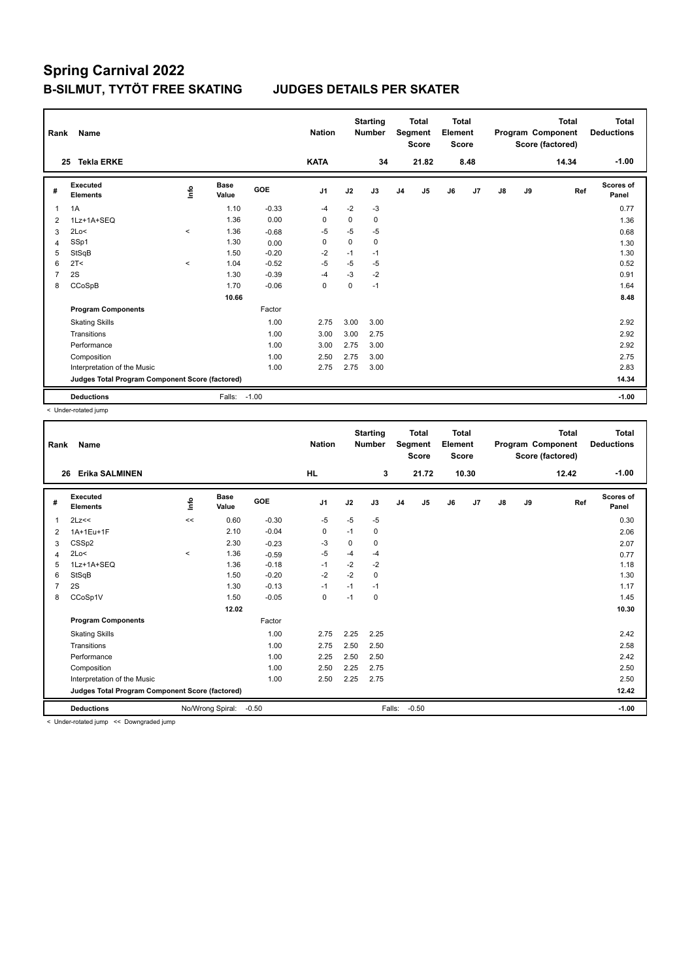| Rank           | Name                                            |         |                      |            | <b>Nation</b>  |          | <b>Starting</b><br><b>Number</b> |                | <b>Total</b><br>Segment<br><b>Score</b> | Total<br>Element<br><b>Score</b> |      |               |    | <b>Total</b><br>Program Component<br>Score (factored) | <b>Total</b><br><b>Deductions</b> |
|----------------|-------------------------------------------------|---------|----------------------|------------|----------------|----------|----------------------------------|----------------|-----------------------------------------|----------------------------------|------|---------------|----|-------------------------------------------------------|-----------------------------------|
|                | <b>Tekla ERKE</b><br>25                         |         |                      |            | <b>KATA</b>    |          | 34                               |                | 21.82                                   |                                  | 8.48 |               |    | 14.34                                                 | $-1.00$                           |
| #              | Executed<br><b>Elements</b>                     | lnfo    | <b>Base</b><br>Value | <b>GOE</b> | J <sub>1</sub> | J2       | J3                               | J <sub>4</sub> | J5                                      | J6                               | J7   | $\mathsf{J}8$ | J9 | Ref                                                   | <b>Scores of</b><br>Panel         |
| 1              | 1A                                              |         | 1.10                 | $-0.33$    | $-4$           | $-2$     | $-3$                             |                |                                         |                                  |      |               |    |                                                       | 0.77                              |
| 2              | 1Lz+1A+SEQ                                      |         | 1.36                 | 0.00       | 0              | 0        | 0                                |                |                                         |                                  |      |               |    |                                                       | 1.36                              |
| 3              | 2Lo<                                            | $\prec$ | 1.36                 | $-0.68$    | $-5$           | $-5$     | $-5$                             |                |                                         |                                  |      |               |    |                                                       | 0.68                              |
| 4              | SSp1                                            |         | 1.30                 | 0.00       | 0              | $\Omega$ | 0                                |                |                                         |                                  |      |               |    |                                                       | 1.30                              |
| 5              | StSqB                                           |         | 1.50                 | $-0.20$    | $-2$           | $-1$     | $-1$                             |                |                                         |                                  |      |               |    |                                                       | 1.30                              |
| 6              | 2T <                                            | $\prec$ | 1.04                 | $-0.52$    | $-5$           | $-5$     | $-5$                             |                |                                         |                                  |      |               |    |                                                       | 0.52                              |
| $\overline{7}$ | 2S                                              |         | 1.30                 | $-0.39$    | $-4$           | $-3$     | $-2$                             |                |                                         |                                  |      |               |    |                                                       | 0.91                              |
| 8              | CCoSpB                                          |         | 1.70                 | $-0.06$    | 0              | 0        | $-1$                             |                |                                         |                                  |      |               |    |                                                       | 1.64                              |
|                |                                                 |         | 10.66                |            |                |          |                                  |                |                                         |                                  |      |               |    |                                                       | 8.48                              |
|                | <b>Program Components</b>                       |         |                      | Factor     |                |          |                                  |                |                                         |                                  |      |               |    |                                                       |                                   |
|                | <b>Skating Skills</b>                           |         |                      | 1.00       | 2.75           | 3.00     | 3.00                             |                |                                         |                                  |      |               |    |                                                       | 2.92                              |
|                | Transitions                                     |         |                      | 1.00       | 3.00           | 3.00     | 2.75                             |                |                                         |                                  |      |               |    |                                                       | 2.92                              |
|                | Performance                                     |         |                      | 1.00       | 3.00           | 2.75     | 3.00                             |                |                                         |                                  |      |               |    |                                                       | 2.92                              |
|                | Composition                                     |         |                      | 1.00       | 2.50           | 2.75     | 3.00                             |                |                                         |                                  |      |               |    |                                                       | 2.75                              |
|                | Interpretation of the Music                     |         |                      | 1.00       | 2.75           | 2.75     | 3.00                             |                |                                         |                                  |      |               |    |                                                       | 2.83                              |
|                | Judges Total Program Component Score (factored) |         |                      |            |                |          |                                  |                |                                         |                                  |      |               |    |                                                       | 14.34                             |
|                | <b>Deductions</b>                               |         | Falls:               | $-1.00$    |                |          |                                  |                |                                         |                                  |      |               |    |                                                       | $-1.00$                           |

< Under-rotated jump

| Rank           | <b>Name</b>                                     |         |                  |         | <b>Nation</b>  |      | <b>Starting</b><br><b>Number</b> |                | <b>Total</b><br>Segment<br><b>Score</b> | <b>Total</b><br>Element<br><b>Score</b> |       |               |    | <b>Total</b><br>Program Component<br>Score (factored) | <b>Total</b><br><b>Deductions</b> |
|----------------|-------------------------------------------------|---------|------------------|---------|----------------|------|----------------------------------|----------------|-----------------------------------------|-----------------------------------------|-------|---------------|----|-------------------------------------------------------|-----------------------------------|
| 26             | <b>Erika SALMINEN</b>                           |         |                  |         | <b>HL</b>      |      | 3                                |                | 21.72                                   |                                         | 10.30 |               |    | 12.42                                                 | $-1.00$                           |
| #              | Executed<br><b>Elements</b>                     | lnfo    | Base<br>Value    | GOE     | J <sub>1</sub> | J2   | J3                               | J <sub>4</sub> | J5                                      | J6                                      | J7    | $\mathsf{J}8$ | J9 | Ref                                                   | Scores of<br>Panel                |
| 1              | 2Lz<<                                           | <<      | 0.60             | $-0.30$ | $-5$           | $-5$ | $-5$                             |                |                                         |                                         |       |               |    |                                                       | 0.30                              |
| 2              | 1A+1Eu+1F                                       |         | 2.10             | $-0.04$ | 0              | $-1$ | 0                                |                |                                         |                                         |       |               |    |                                                       | 2.06                              |
| 3              | CSS <sub>p2</sub>                               |         | 2.30             | $-0.23$ | $-3$           | 0    | 0                                |                |                                         |                                         |       |               |    |                                                       | 2.07                              |
| 4              | 2Lo<                                            | $\prec$ | 1.36             | $-0.59$ | -5             | $-4$ | $-4$                             |                |                                         |                                         |       |               |    |                                                       | 0.77                              |
| 5              | 1Lz+1A+SEQ                                      |         | 1.36             | $-0.18$ | $-1$           | $-2$ | $-2$                             |                |                                         |                                         |       |               |    |                                                       | 1.18                              |
| 6              | StSqB                                           |         | 1.50             | $-0.20$ | $-2$           | $-2$ | 0                                |                |                                         |                                         |       |               |    |                                                       | 1.30                              |
| $\overline{7}$ | 2S                                              |         | 1.30             | $-0.13$ | $-1$           | $-1$ | $-1$                             |                |                                         |                                         |       |               |    |                                                       | 1.17                              |
| 8              | CCoSp1V                                         |         | 1.50             | $-0.05$ | 0              | $-1$ | 0                                |                |                                         |                                         |       |               |    |                                                       | 1.45                              |
|                |                                                 |         | 12.02            |         |                |      |                                  |                |                                         |                                         |       |               |    |                                                       | 10.30                             |
|                | <b>Program Components</b>                       |         |                  | Factor  |                |      |                                  |                |                                         |                                         |       |               |    |                                                       |                                   |
|                | <b>Skating Skills</b>                           |         |                  | 1.00    | 2.75           | 2.25 | 2.25                             |                |                                         |                                         |       |               |    |                                                       | 2.42                              |
|                | Transitions                                     |         |                  | 1.00    | 2.75           | 2.50 | 2.50                             |                |                                         |                                         |       |               |    |                                                       | 2.58                              |
|                | Performance                                     |         |                  | 1.00    | 2.25           | 2.50 | 2.50                             |                |                                         |                                         |       |               |    |                                                       | 2.42                              |
|                | Composition                                     |         |                  | 1.00    | 2.50           | 2.25 | 2.75                             |                |                                         |                                         |       |               |    |                                                       | 2.50                              |
|                | Interpretation of the Music                     |         |                  | 1.00    | 2.50           | 2.25 | 2.75                             |                |                                         |                                         |       |               |    |                                                       | 2.50                              |
|                | Judges Total Program Component Score (factored) |         |                  |         |                |      |                                  |                |                                         |                                         |       |               |    |                                                       | 12.42                             |
|                | <b>Deductions</b>                               |         | No/Wrong Spiral: | $-0.50$ |                |      | Falls:                           |                | $-0.50$                                 |                                         |       |               |    |                                                       | $-1.00$                           |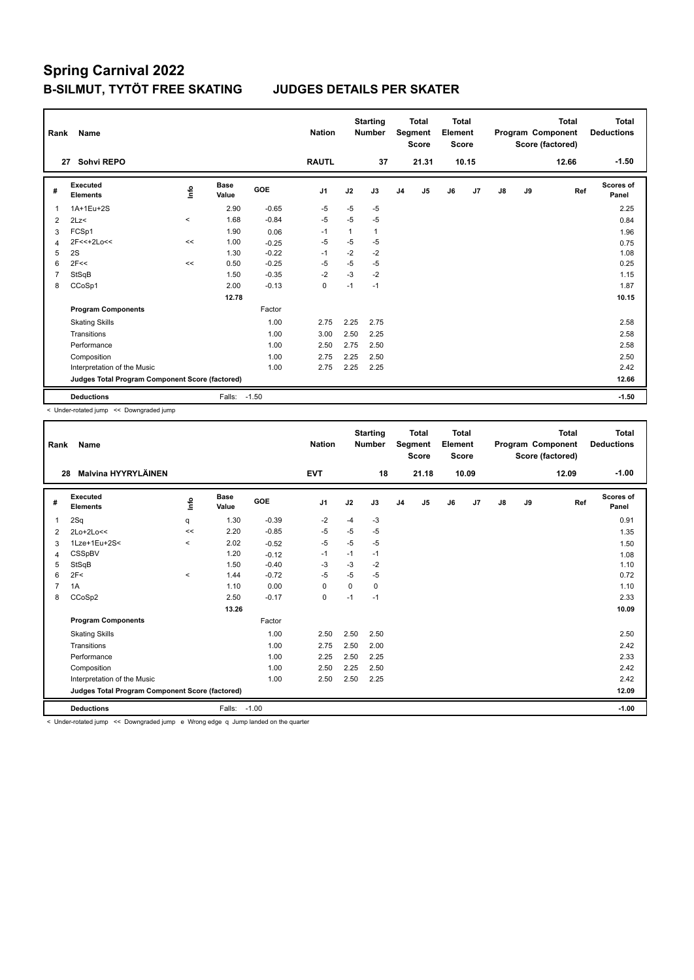| Rank           | Name                                            |          |                      |            | <b>Nation</b>  |      | <b>Starting</b><br><b>Number</b> |                | <b>Total</b><br>Segment<br><b>Score</b> | <b>Total</b><br>Element<br><b>Score</b> |       |    |    | <b>Total</b><br>Program Component<br>Score (factored) | <b>Total</b><br><b>Deductions</b> |
|----------------|-------------------------------------------------|----------|----------------------|------------|----------------|------|----------------------------------|----------------|-----------------------------------------|-----------------------------------------|-------|----|----|-------------------------------------------------------|-----------------------------------|
|                | Sohvi REPO<br>27                                |          |                      |            | <b>RAUTL</b>   |      | 37                               |                | 21.31                                   |                                         | 10.15 |    |    | 12.66                                                 | $-1.50$                           |
| #              | Executed<br><b>Elements</b>                     | ۴٥       | <b>Base</b><br>Value | <b>GOE</b> | J <sub>1</sub> | J2   | J3                               | J <sub>4</sub> | J <sub>5</sub>                          | J6                                      | J7    | J8 | J9 | Ref                                                   | Scores of<br>Panel                |
| 1              | 1A+1Eu+2S                                       |          | 2.90                 | $-0.65$    | $-5$           | $-5$ | $-5$                             |                |                                         |                                         |       |    |    |                                                       | 2.25                              |
| 2              | 2Lz                                             | $\hat{}$ | 1.68                 | $-0.84$    | $-5$           | $-5$ | $-5$                             |                |                                         |                                         |       |    |    |                                                       | 0.84                              |
| 3              | FCSp1                                           |          | 1.90                 | 0.06       | $-1$           | 1    | $\mathbf{1}$                     |                |                                         |                                         |       |    |    |                                                       | 1.96                              |
| $\overline{4}$ | 2F<<+2Lo<<                                      | <<       | 1.00                 | $-0.25$    | $-5$           | $-5$ | $-5$                             |                |                                         |                                         |       |    |    |                                                       | 0.75                              |
| 5              | 2S                                              |          | 1.30                 | $-0.22$    | $-1$           | $-2$ | $-2$                             |                |                                         |                                         |       |    |    |                                                       | 1.08                              |
| 6              | 2F<<                                            | <<       | 0.50                 | $-0.25$    | $-5$           | $-5$ | $-5$                             |                |                                         |                                         |       |    |    |                                                       | 0.25                              |
| $\overline{7}$ | StSqB                                           |          | 1.50                 | $-0.35$    | $-2$           | $-3$ | $-2$                             |                |                                         |                                         |       |    |    |                                                       | 1.15                              |
| 8              | CCoSp1                                          |          | 2.00                 | $-0.13$    | 0              | $-1$ | $-1$                             |                |                                         |                                         |       |    |    |                                                       | 1.87                              |
|                |                                                 |          | 12.78                |            |                |      |                                  |                |                                         |                                         |       |    |    |                                                       | 10.15                             |
|                | <b>Program Components</b>                       |          |                      | Factor     |                |      |                                  |                |                                         |                                         |       |    |    |                                                       |                                   |
|                | <b>Skating Skills</b>                           |          |                      | 1.00       | 2.75           | 2.25 | 2.75                             |                |                                         |                                         |       |    |    |                                                       | 2.58                              |
|                | Transitions                                     |          |                      | 1.00       | 3.00           | 2.50 | 2.25                             |                |                                         |                                         |       |    |    |                                                       | 2.58                              |
|                | Performance                                     |          |                      | 1.00       | 2.50           | 2.75 | 2.50                             |                |                                         |                                         |       |    |    |                                                       | 2.58                              |
|                | Composition                                     |          |                      | 1.00       | 2.75           | 2.25 | 2.50                             |                |                                         |                                         |       |    |    |                                                       | 2.50                              |
|                | Interpretation of the Music                     |          |                      | 1.00       | 2.75           | 2.25 | 2.25                             |                |                                         |                                         |       |    |    |                                                       | 2.42                              |
|                | Judges Total Program Component Score (factored) |          |                      |            |                |      |                                  |                |                                         |                                         |       |    |    |                                                       | 12.66                             |
|                | <b>Deductions</b>                               |          | Falls:               | $-1.50$    |                |      |                                  |                |                                         |                                         |       |    |    |                                                       | $-1.50$                           |

< Under-rotated jump << Downgraded jump

| Rank | <b>Name</b>                                     |             |                      |         | <b>Nation</b>  |          | <b>Starting</b><br><b>Number</b> |                | <b>Total</b><br>Segment<br><b>Score</b> | <b>Total</b><br>Element<br><b>Score</b> |       |    |    | <b>Total</b><br>Program Component<br>Score (factored) | <b>Total</b><br><b>Deductions</b> |
|------|-------------------------------------------------|-------------|----------------------|---------|----------------|----------|----------------------------------|----------------|-----------------------------------------|-----------------------------------------|-------|----|----|-------------------------------------------------------|-----------------------------------|
| 28   | Malvina HYYRYLÄINEN                             |             |                      |         | <b>EVT</b>     |          | 18                               |                | 21.18                                   |                                         | 10.09 |    |    | 12.09                                                 | $-1.00$                           |
| #    | Executed<br><b>Elements</b>                     | <u>info</u> | <b>Base</b><br>Value | GOE     | J <sub>1</sub> | J2       | J3                               | J <sub>4</sub> | J <sub>5</sub>                          | J6                                      | J7    | J8 | J9 | Ref                                                   | <b>Scores of</b><br>Panel         |
| 1    | 2Sq                                             | q           | 1.30                 | $-0.39$ | $-2$           | $-4$     | $-3$                             |                |                                         |                                         |       |    |    |                                                       | 0.91                              |
| 2    | 2Lo+2Lo<<                                       | <<          | 2.20                 | $-0.85$ | $-5$           | $-5$     | $-5$                             |                |                                         |                                         |       |    |    |                                                       | 1.35                              |
| 3    | 1Lze+1Eu+2S<                                    | $\hat{}$    | 2.02                 | $-0.52$ | $-5$           | $-5$     | $-5$                             |                |                                         |                                         |       |    |    |                                                       | 1.50                              |
| 4    | CSSpBV                                          |             | 1.20                 | $-0.12$ | $-1$           | $-1$     | $-1$                             |                |                                         |                                         |       |    |    |                                                       | 1.08                              |
| 5    | StSqB                                           |             | 1.50                 | $-0.40$ | $-3$           | $-3$     | $-2$                             |                |                                         |                                         |       |    |    |                                                       | 1.10                              |
| 6    | 2F<                                             | $\prec$     | 1.44                 | $-0.72$ | $-5$           | $-5$     | $-5$                             |                |                                         |                                         |       |    |    |                                                       | 0.72                              |
|      | 1A                                              |             | 1.10                 | 0.00    | $\Omega$       | $\Omega$ | $\Omega$                         |                |                                         |                                         |       |    |    |                                                       | 1.10                              |
| 8    | CCoSp2                                          |             | 2.50                 | $-0.17$ | $\mathbf 0$    | $-1$     | $-1$                             |                |                                         |                                         |       |    |    |                                                       | 2.33                              |
|      |                                                 |             | 13.26                |         |                |          |                                  |                |                                         |                                         |       |    |    |                                                       | 10.09                             |
|      | <b>Program Components</b>                       |             |                      | Factor  |                |          |                                  |                |                                         |                                         |       |    |    |                                                       |                                   |
|      | <b>Skating Skills</b>                           |             |                      | 1.00    | 2.50           | 2.50     | 2.50                             |                |                                         |                                         |       |    |    |                                                       | 2.50                              |
|      | Transitions                                     |             |                      | 1.00    | 2.75           | 2.50     | 2.00                             |                |                                         |                                         |       |    |    |                                                       | 2.42                              |
|      | Performance                                     |             |                      | 1.00    | 2.25           | 2.50     | 2.25                             |                |                                         |                                         |       |    |    |                                                       | 2.33                              |
|      | Composition                                     |             |                      | 1.00    | 2.50           | 2.25     | 2.50                             |                |                                         |                                         |       |    |    |                                                       | 2.42                              |
|      | Interpretation of the Music                     |             |                      | 1.00    | 2.50           | 2.50     | 2.25                             |                |                                         |                                         |       |    |    |                                                       | 2.42                              |
|      | Judges Total Program Component Score (factored) |             |                      |         |                |          |                                  |                |                                         |                                         |       |    |    |                                                       | 12.09                             |
|      | <b>Deductions</b>                               |             | Falls:               | $-1.00$ |                |          |                                  |                |                                         |                                         |       |    |    |                                                       | $-1.00$                           |

< Under-rotated jump << Downgraded jump e Wrong edge q Jump landed on the quarter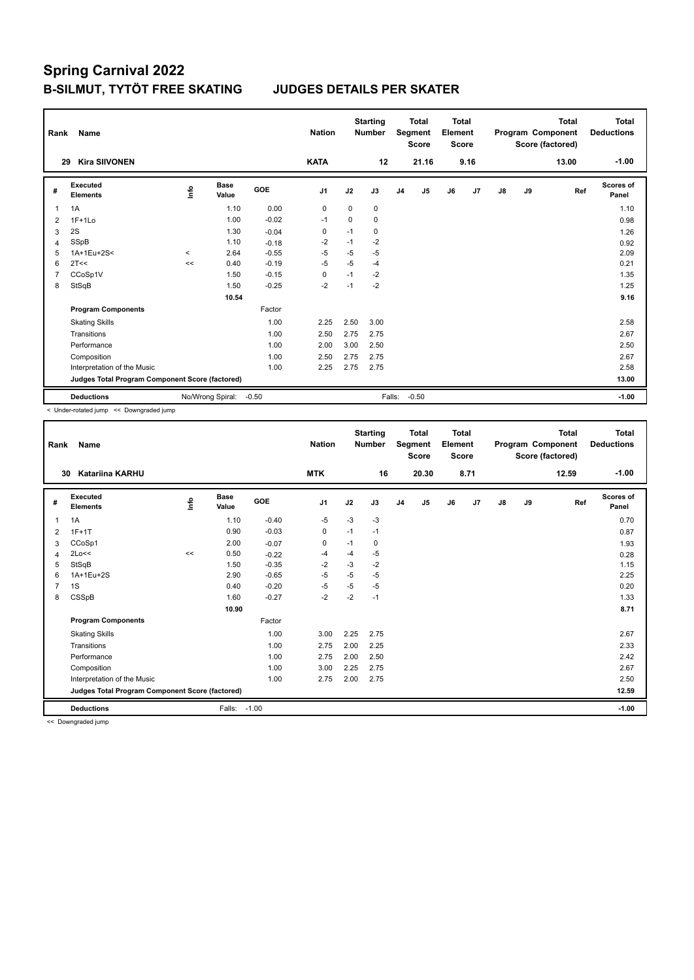| Rank           | Name                                            |              |                      |            | <b>Nation</b>  |             | <b>Starting</b><br><b>Number</b> |                | <b>Total</b><br>Segment<br><b>Score</b> | <b>Total</b><br>Element<br><b>Score</b> |      |               |    | <b>Total</b><br>Program Component<br>Score (factored) | Total<br><b>Deductions</b> |
|----------------|-------------------------------------------------|--------------|----------------------|------------|----------------|-------------|----------------------------------|----------------|-----------------------------------------|-----------------------------------------|------|---------------|----|-------------------------------------------------------|----------------------------|
| 29             | <b>Kira SIIVONEN</b>                            |              |                      |            | <b>KATA</b>    |             | 12                               |                | 21.16                                   |                                         | 9.16 |               |    | 13.00                                                 | $-1.00$                    |
| #              | Executed<br><b>Elements</b>                     | lnfo         | <b>Base</b><br>Value | <b>GOE</b> | J <sub>1</sub> | J2          | J3                               | J <sub>4</sub> | J <sub>5</sub>                          | J6                                      | J7   | $\mathsf{J}8$ | J9 | Ref                                                   | Scores of<br>Panel         |
| 1              | 1A                                              |              | 1.10                 | 0.00       | $\mathbf 0$    | $\mathbf 0$ | $\mathbf 0$                      |                |                                         |                                         |      |               |    |                                                       | 1.10                       |
| $\overline{2}$ | $1F+1Lo$                                        |              | 1.00                 | $-0.02$    | $-1$           | $\mathbf 0$ | 0                                |                |                                         |                                         |      |               |    |                                                       | 0.98                       |
| 3              | 2S                                              |              | 1.30                 | $-0.04$    | $\mathbf 0$    | $-1$        | 0                                |                |                                         |                                         |      |               |    |                                                       | 1.26                       |
| $\overline{4}$ | SSpB                                            |              | 1.10                 | $-0.18$    | $-2$           | $-1$        | $-2$                             |                |                                         |                                         |      |               |    |                                                       | 0.92                       |
| 5              | 1A+1Eu+2S<                                      | $\checkmark$ | 2.64                 | $-0.55$    | $-5$           | $-5$        | $-5$                             |                |                                         |                                         |      |               |    |                                                       | 2.09                       |
| 6              | 2T<<                                            | <<           | 0.40                 | $-0.19$    | $-5$           | $-5$        | $-4$                             |                |                                         |                                         |      |               |    |                                                       | 0.21                       |
| $\overline{7}$ | CCoSp1V                                         |              | 1.50                 | $-0.15$    | 0              | $-1$        | $-2$                             |                |                                         |                                         |      |               |    |                                                       | 1.35                       |
| 8              | StSqB                                           |              | 1.50                 | $-0.25$    | $-2$           | $-1$        | $-2$                             |                |                                         |                                         |      |               |    |                                                       | 1.25                       |
|                |                                                 |              | 10.54                |            |                |             |                                  |                |                                         |                                         |      |               |    |                                                       | 9.16                       |
|                | <b>Program Components</b>                       |              |                      | Factor     |                |             |                                  |                |                                         |                                         |      |               |    |                                                       |                            |
|                | <b>Skating Skills</b>                           |              |                      | 1.00       | 2.25           | 2.50        | 3.00                             |                |                                         |                                         |      |               |    |                                                       | 2.58                       |
|                | Transitions                                     |              |                      | 1.00       | 2.50           | 2.75        | 2.75                             |                |                                         |                                         |      |               |    |                                                       | 2.67                       |
|                | Performance                                     |              |                      | 1.00       | 2.00           | 3.00        | 2.50                             |                |                                         |                                         |      |               |    |                                                       | 2.50                       |
|                | Composition                                     |              |                      | 1.00       | 2.50           | 2.75        | 2.75                             |                |                                         |                                         |      |               |    |                                                       | 2.67                       |
|                | Interpretation of the Music                     |              |                      | 1.00       | 2.25           | 2.75        | 2.75                             |                |                                         |                                         |      |               |    |                                                       | 2.58                       |
|                | Judges Total Program Component Score (factored) |              |                      |            |                |             |                                  |                |                                         |                                         |      |               |    |                                                       | 13.00                      |
|                | <b>Deductions</b>                               |              | No/Wrong Spiral:     | $-0.50$    |                |             | Falls:                           |                | $-0.50$                                 |                                         |      |               |    |                                                       | $-1.00$                    |

< Under-rotated jump << Downgraded jump

| Rank         | Name                                            |      |               |            | <b>Nation</b>  |      | <b>Starting</b><br><b>Number</b> |                | <b>Total</b><br>Segment<br><b>Score</b> | <b>Total</b><br>Element<br><b>Score</b> |      |               |    | <b>Total</b><br>Program Component<br>Score (factored) | <b>Total</b><br><b>Deductions</b> |
|--------------|-------------------------------------------------|------|---------------|------------|----------------|------|----------------------------------|----------------|-----------------------------------------|-----------------------------------------|------|---------------|----|-------------------------------------------------------|-----------------------------------|
| 30           | <b>Katariina KARHU</b>                          |      |               |            | <b>MTK</b>     |      | 16                               |                | 20.30                                   |                                         | 8.71 |               |    | 12.59                                                 | $-1.00$                           |
| #            | Executed<br><b>Elements</b>                     | Info | Base<br>Value | <b>GOE</b> | J <sub>1</sub> | J2   | J3                               | J <sub>4</sub> | J5                                      | J6                                      | J7   | $\mathsf{J}8$ | J9 | Ref                                                   | Scores of<br>Panel                |
| $\mathbf{1}$ | 1A                                              |      | 1.10          | $-0.40$    | $-5$           | $-3$ | $-3$                             |                |                                         |                                         |      |               |    |                                                       | 0.70                              |
| 2            | $1F+1T$                                         |      | 0.90          | $-0.03$    | 0              | $-1$ | $-1$                             |                |                                         |                                         |      |               |    |                                                       | 0.87                              |
| 3            | CCoSp1                                          |      | 2.00          | $-0.07$    | 0              | $-1$ | 0                                |                |                                         |                                         |      |               |    |                                                       | 1.93                              |
| 4            | 2Lo<<                                           | <<   | 0.50          | $-0.22$    | $-4$           | $-4$ | $-5$                             |                |                                         |                                         |      |               |    |                                                       | 0.28                              |
| 5            | StSqB                                           |      | 1.50          | $-0.35$    | $-2$           | $-3$ | $-2$                             |                |                                         |                                         |      |               |    |                                                       | 1.15                              |
| 6            | 1A+1Eu+2S                                       |      | 2.90          | $-0.65$    | $-5$           | $-5$ | $-5$                             |                |                                         |                                         |      |               |    |                                                       | 2.25                              |
| 7            | 1S                                              |      | 0.40          | $-0.20$    | $-5$           | $-5$ | $-5$                             |                |                                         |                                         |      |               |    |                                                       | 0.20                              |
| 8            | CSSpB                                           |      | 1.60          | $-0.27$    | $-2$           | $-2$ | $-1$                             |                |                                         |                                         |      |               |    |                                                       | 1.33                              |
|              |                                                 |      | 10.90         |            |                |      |                                  |                |                                         |                                         |      |               |    |                                                       | 8.71                              |
|              | <b>Program Components</b>                       |      |               | Factor     |                |      |                                  |                |                                         |                                         |      |               |    |                                                       |                                   |
|              | <b>Skating Skills</b>                           |      |               | 1.00       | 3.00           | 2.25 | 2.75                             |                |                                         |                                         |      |               |    |                                                       | 2.67                              |
|              | Transitions                                     |      |               | 1.00       | 2.75           | 2.00 | 2.25                             |                |                                         |                                         |      |               |    |                                                       | 2.33                              |
|              | Performance                                     |      |               | 1.00       | 2.75           | 2.00 | 2.50                             |                |                                         |                                         |      |               |    |                                                       | 2.42                              |
|              | Composition                                     |      |               | 1.00       | 3.00           | 2.25 | 2.75                             |                |                                         |                                         |      |               |    |                                                       | 2.67                              |
|              | Interpretation of the Music                     |      |               | 1.00       | 2.75           | 2.00 | 2.75                             |                |                                         |                                         |      |               |    |                                                       | 2.50                              |
|              | Judges Total Program Component Score (factored) |      |               |            |                |      |                                  |                |                                         |                                         |      |               |    |                                                       | 12.59                             |
|              | <b>Deductions</b>                               |      | Falls:        | $-1.00$    |                |      |                                  |                |                                         |                                         |      |               |    |                                                       | $-1.00$                           |

<< Downgraded jump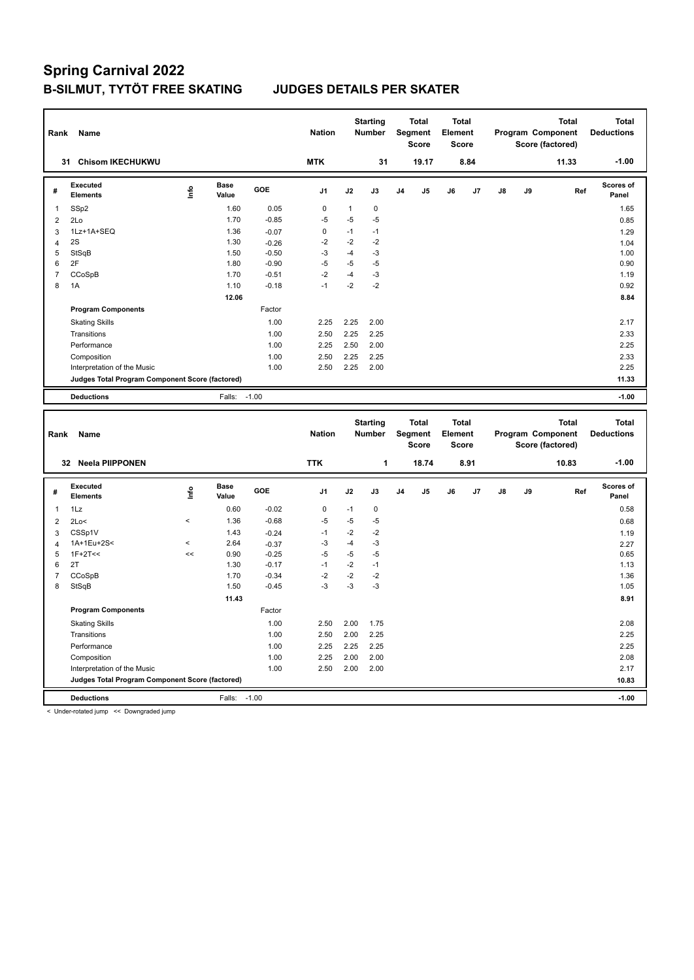| Rank                     | Name                                            |                                  |                      |         | <b>Nation</b>  |              | <b>Starting</b><br><b>Number</b> |    | <b>Total</b><br>Segment<br><b>Score</b> | <b>Total</b><br>Element<br><b>Score</b> |      |    | Program Component | <b>Total</b><br>Score (factored) |     | <b>Total</b><br><b>Deductions</b> |
|--------------------------|-------------------------------------------------|----------------------------------|----------------------|---------|----------------|--------------|----------------------------------|----|-----------------------------------------|-----------------------------------------|------|----|-------------------|----------------------------------|-----|-----------------------------------|
|                          | <b>Chisom IKECHUKWU</b><br>31                   |                                  |                      |         | <b>MTK</b>     |              | 31                               |    | 19.17                                   |                                         | 8.84 |    |                   | 11.33                            |     | $-1.00$                           |
| #                        | <b>Executed</b><br><b>Elements</b>              | $\mathop{\mathsf{Irr}}\nolimits$ | <b>Base</b><br>Value | GOE     | J <sub>1</sub> | J2           | J3                               | J4 | J5                                      | J6                                      | J7   | J8 | J9                |                                  | Ref | Scores of<br>Panel                |
| 1                        | SSp2                                            |                                  | 1.60                 | 0.05    | $\pmb{0}$      | $\mathbf{1}$ | 0                                |    |                                         |                                         |      |    |                   |                                  |     | 1.65                              |
| $\overline{2}$           | 2Lo                                             |                                  | 1.70                 | $-0.85$ | $-5$           | $-5$         | $-5$                             |    |                                         |                                         |      |    |                   |                                  |     | 0.85                              |
| 3                        | 1Lz+1A+SEQ                                      |                                  | 1.36                 | $-0.07$ | $\pmb{0}$      | $-1$         | $-1$                             |    |                                         |                                         |      |    |                   |                                  |     | 1.29                              |
| $\overline{4}$           | 2S                                              |                                  | 1.30                 | $-0.26$ | $-2$           | $-2$         | $-2$                             |    |                                         |                                         |      |    |                   |                                  |     | 1.04                              |
| 5                        | StSqB                                           |                                  | 1.50                 | $-0.50$ | $-3$           | $-4$         | $-3$                             |    |                                         |                                         |      |    |                   |                                  |     | 1.00                              |
| 6                        | 2F                                              |                                  | 1.80                 | $-0.90$ | $-5$           | $-5$         | $-5$                             |    |                                         |                                         |      |    |                   |                                  |     | 0.90                              |
| $\overline{7}$           | CCoSpB                                          |                                  | 1.70                 | $-0.51$ | $-2$           | $-4$         | $-3$                             |    |                                         |                                         |      |    |                   |                                  |     | 1.19                              |
| 8                        | 1A                                              |                                  | 1.10                 | $-0.18$ | $-1$           | $-2$         | $-2$                             |    |                                         |                                         |      |    |                   |                                  |     | 0.92                              |
|                          |                                                 |                                  | 12.06                |         |                |              |                                  |    |                                         |                                         |      |    |                   |                                  |     | 8.84                              |
|                          | <b>Program Components</b>                       |                                  |                      | Factor  |                |              |                                  |    |                                         |                                         |      |    |                   |                                  |     |                                   |
|                          | <b>Skating Skills</b>                           |                                  |                      | 1.00    | 2.25           | 2.25         | 2.00                             |    |                                         |                                         |      |    |                   |                                  |     | 2.17                              |
|                          | Transitions                                     |                                  |                      | 1.00    | 2.50           | 2.25         | 2.25                             |    |                                         |                                         |      |    |                   |                                  |     | 2.33                              |
|                          | Performance                                     |                                  |                      | 1.00    | 2.25           | 2.50         | 2.00                             |    |                                         |                                         |      |    |                   |                                  |     | 2.25                              |
|                          | Composition                                     |                                  |                      | 1.00    | 2.50           | 2.25         | 2.25                             |    |                                         |                                         |      |    |                   |                                  |     | 2.33                              |
|                          | Interpretation of the Music                     |                                  |                      | 1.00    | 2.50           | 2.25         | 2.00                             |    |                                         |                                         |      |    |                   |                                  |     | 2.25                              |
|                          | Judges Total Program Component Score (factored) |                                  |                      |         |                |              |                                  |    |                                         |                                         |      |    |                   |                                  |     | 11.33                             |
|                          | <b>Deductions</b>                               |                                  | Falls:               | $-1.00$ |                |              |                                  |    |                                         |                                         |      |    |                   |                                  |     | $-1.00$                           |
|                          |                                                 |                                  |                      |         |                |              |                                  |    |                                         |                                         |      |    |                   |                                  |     |                                   |
| Rank                     | Name                                            |                                  |                      |         | <b>Nation</b>  |              | <b>Starting</b><br><b>Number</b> |    | <b>Total</b><br>Segment<br><b>Score</b> | <b>Total</b><br>Element<br><b>Score</b> |      |    | Program Component | <b>Total</b><br>Score (factored) |     | <b>Total</b><br><b>Deductions</b> |
|                          | 32 Neela PIIPPONEN                              |                                  |                      |         | <b>TTK</b>     |              | 1                                |    | 18.74                                   |                                         | 8.91 |    |                   | 10.83                            |     | $-1.00$                           |
| #                        | Executed<br><b>Elements</b>                     | Info                             | <b>Base</b><br>Value | GOE     | J <sub>1</sub> | J2           | J3                               | J4 | J5                                      | J6                                      | J7   | J8 | J9                |                                  | Ref | <b>Scores of</b><br>Panel         |
| 1                        | 1Lz                                             |                                  | 0.60                 | $-0.02$ | $\pmb{0}$      | $-1$         | $\pmb{0}$                        |    |                                         |                                         |      |    |                   |                                  |     | 0.58                              |
| $\overline{2}$           | 2Lo<                                            | $\overline{\phantom{a}}$         | 1.36                 | $-0.68$ | $-5$           | $-5$         | -5                               |    |                                         |                                         |      |    |                   |                                  |     | 0.68                              |
| 3                        | CSSp1V                                          |                                  | 1.43                 | $-0.24$ | $-1$           | $-2$         | $-2$                             |    |                                         |                                         |      |    |                   |                                  |     | 1.19                              |
| $\overline{4}$           | 1A+1Eu+2S<                                      | $\overline{\phantom{a}}$         | 2.64                 | $-0.37$ | $-3$           | $-4$         | $-3$                             |    |                                         |                                         |      |    |                   |                                  |     | 2.27                              |
| 5                        | $1F+2T<<$                                       | <<                               | 0.90                 | $-0.25$ | $-5$           | $-5$         | $-5$                             |    |                                         |                                         |      |    |                   |                                  |     | 0.65                              |
| 6                        | 2T                                              |                                  | 1.30                 | $-0.17$ | $-1$           | $-2$         | $-1$                             |    |                                         |                                         |      |    |                   |                                  |     | 1.13                              |
| $\overline{\mathcal{I}}$ | CCoSpB                                          |                                  | 1.70                 | $-0.34$ | $-2$           | $-2$         | $-2$                             |    |                                         |                                         |      |    |                   |                                  |     | 1.36                              |
| 8                        | StSqB                                           |                                  | 1.50                 | $-0.45$ | $-3$           | $-3$         | $-3$                             |    |                                         |                                         |      |    |                   |                                  |     | 1.05                              |
|                          |                                                 |                                  | 11.43                |         |                |              |                                  |    |                                         |                                         |      |    |                   |                                  |     | 8.91                              |
|                          | <b>Program Components</b>                       |                                  |                      | Factor  |                |              |                                  |    |                                         |                                         |      |    |                   |                                  |     |                                   |
|                          | <b>Skating Skills</b>                           |                                  |                      | 1.00    | 2.50           | 2.00         | 1.75                             |    |                                         |                                         |      |    |                   |                                  |     | 2.08                              |
|                          | Transitions                                     |                                  |                      | 1.00    | 2.50           | 2.00         | 2.25                             |    |                                         |                                         |      |    |                   |                                  |     | 2.25                              |
|                          | Performance                                     |                                  |                      | 1.00    | 2.25           | 2.25         | 2.25                             |    |                                         |                                         |      |    |                   |                                  |     | 2.25                              |
|                          | Composition                                     |                                  |                      | 1.00    | 2.25           | 2.00         | 2.00                             |    |                                         |                                         |      |    |                   |                                  |     | 2.08                              |
|                          | Interpretation of the Music                     |                                  |                      | 1.00    | 2.50           | 2.00         | 2.00                             |    |                                         |                                         |      |    |                   |                                  |     | 2.17                              |
|                          | Judges Total Program Component Score (factored) |                                  |                      | $-1.00$ |                |              |                                  |    |                                         |                                         |      |    |                   |                                  |     | 10.83                             |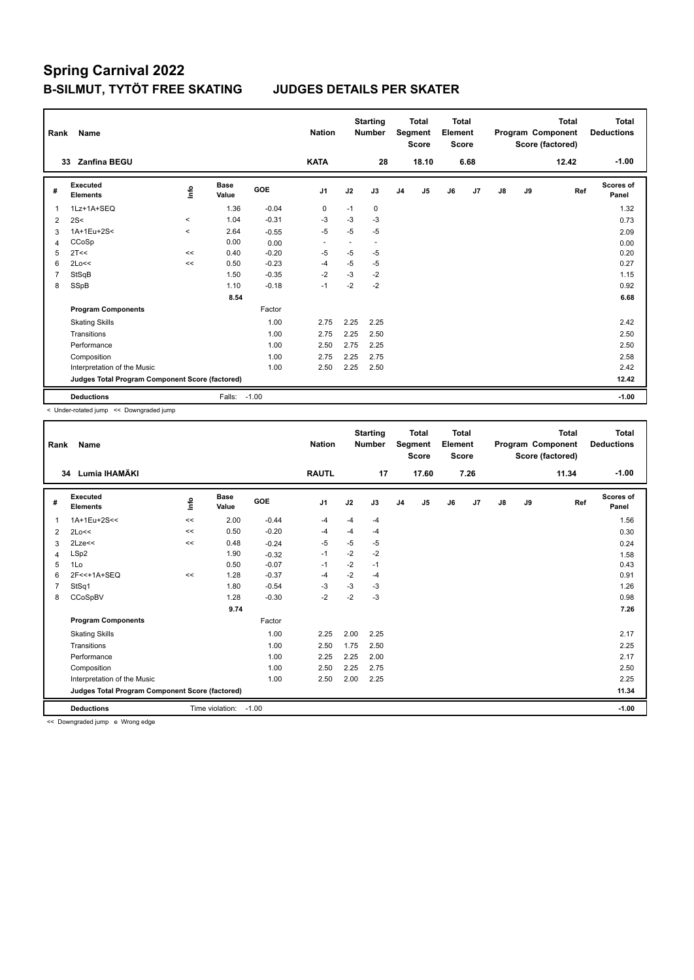| Rank           | Name                                            |         |                      |         | <b>Nation</b>            |      | <b>Starting</b><br><b>Number</b> |                | <b>Total</b><br>Segment<br><b>Score</b> | <b>Total</b><br>Element<br><b>Score</b> |      |    |    | <b>Total</b><br>Program Component<br>Score (factored) | <b>Total</b><br><b>Deductions</b> |
|----------------|-------------------------------------------------|---------|----------------------|---------|--------------------------|------|----------------------------------|----------------|-----------------------------------------|-----------------------------------------|------|----|----|-------------------------------------------------------|-----------------------------------|
|                | <b>Zanfina BEGU</b><br>33                       |         |                      |         | <b>KATA</b>              |      | 28                               |                | 18.10                                   |                                         | 6.68 |    |    | 12.42                                                 | $-1.00$                           |
| #              | Executed<br><b>Elements</b>                     | ١rfo    | <b>Base</b><br>Value | GOE     | J <sub>1</sub>           | J2   | J3                               | J <sub>4</sub> | J5                                      | J6                                      | J7   | J8 | J9 | Ref                                                   | Scores of<br>Panel                |
| 1              | 1Lz+1A+SEQ                                      |         | 1.36                 | $-0.04$ | 0                        | $-1$ | 0                                |                |                                         |                                         |      |    |    |                                                       | 1.32                              |
| 2              | 2S<                                             | $\prec$ | 1.04                 | $-0.31$ | $-3$                     | $-3$ | $-3$                             |                |                                         |                                         |      |    |    |                                                       | 0.73                              |
| 3              | 1A+1Eu+2S<                                      | $\prec$ | 2.64                 | $-0.55$ | $-5$                     | $-5$ | $-5$                             |                |                                         |                                         |      |    |    |                                                       | 2.09                              |
| 4              | CCoSp                                           |         | 0.00                 | 0.00    | $\overline{\phantom{a}}$ | ٠    | $\overline{\phantom{a}}$         |                |                                         |                                         |      |    |    |                                                       | 0.00                              |
| 5              | 2T<<                                            | <<      | 0.40                 | $-0.20$ | -5                       | $-5$ | $-5$                             |                |                                         |                                         |      |    |    |                                                       | 0.20                              |
| 6              | 2Lo<<                                           | <<      | 0.50                 | $-0.23$ | -4                       | $-5$ | $-5$                             |                |                                         |                                         |      |    |    |                                                       | 0.27                              |
| $\overline{7}$ | StSqB                                           |         | 1.50                 | $-0.35$ | $-2$                     | $-3$ | $-2$                             |                |                                         |                                         |      |    |    |                                                       | 1.15                              |
| 8              | SSpB                                            |         | 1.10                 | $-0.18$ | $-1$                     | $-2$ | $-2$                             |                |                                         |                                         |      |    |    |                                                       | 0.92                              |
|                |                                                 |         | 8.54                 |         |                          |      |                                  |                |                                         |                                         |      |    |    |                                                       | 6.68                              |
|                | <b>Program Components</b>                       |         |                      | Factor  |                          |      |                                  |                |                                         |                                         |      |    |    |                                                       |                                   |
|                | <b>Skating Skills</b>                           |         |                      | 1.00    | 2.75                     | 2.25 | 2.25                             |                |                                         |                                         |      |    |    |                                                       | 2.42                              |
|                | Transitions                                     |         |                      | 1.00    | 2.75                     | 2.25 | 2.50                             |                |                                         |                                         |      |    |    |                                                       | 2.50                              |
|                | Performance                                     |         |                      | 1.00    | 2.50                     | 2.75 | 2.25                             |                |                                         |                                         |      |    |    |                                                       | 2.50                              |
|                | Composition                                     |         |                      | 1.00    | 2.75                     | 2.25 | 2.75                             |                |                                         |                                         |      |    |    |                                                       | 2.58                              |
|                | Interpretation of the Music                     |         |                      | 1.00    | 2.50                     | 2.25 | 2.50                             |                |                                         |                                         |      |    |    |                                                       | 2.42                              |
|                | Judges Total Program Component Score (factored) |         |                      |         |                          |      |                                  |                |                                         |                                         |      |    |    |                                                       | 12.42                             |
|                | <b>Deductions</b>                               |         | Falls:               | $-1.00$ |                          |      |                                  |                |                                         |                                         |      |    |    |                                                       | $-1.00$                           |

< Under-rotated jump << Downgraded jump

| Rank | Name                                            |       |                      |         | <b>Nation</b>  |      | <b>Starting</b><br><b>Number</b> |                | Total<br>Segment<br><b>Score</b> | <b>Total</b><br>Element<br><b>Score</b> |      |    |    | <b>Total</b><br>Program Component<br>Score (factored) | <b>Total</b><br><b>Deductions</b> |
|------|-------------------------------------------------|-------|----------------------|---------|----------------|------|----------------------------------|----------------|----------------------------------|-----------------------------------------|------|----|----|-------------------------------------------------------|-----------------------------------|
| 34   | Lumia IHAMÄKI                                   |       |                      |         | <b>RAUTL</b>   |      | 17                               |                | 17.60                            |                                         | 7.26 |    |    | 11.34                                                 | $-1.00$                           |
| #    | Executed<br><b>Elements</b>                     | ۴٥    | <b>Base</b><br>Value | GOE     | J <sub>1</sub> | J2   | J3                               | J <sub>4</sub> | J5                               | J6                                      | J7   | J8 | J9 | Ref                                                   | <b>Scores of</b><br>Panel         |
| 1    | 1A+1Eu+2S<<                                     | $\,<$ | 2.00                 | $-0.44$ | $-4$           | -4   | $-4$                             |                |                                  |                                         |      |    |    |                                                       | 1.56                              |
| 2    | 2Lo<<                                           | <<    | 0.50                 | $-0.20$ | -4             | $-4$ | $-4$                             |                |                                  |                                         |      |    |    |                                                       | 0.30                              |
| 3    | 2Lze<<                                          | $\,<$ | 0.48                 | $-0.24$ | -5             | $-5$ | -5                               |                |                                  |                                         |      |    |    |                                                       | 0.24                              |
| 4    | LSp2                                            |       | 1.90                 | $-0.32$ | $-1$           | $-2$ | $-2$                             |                |                                  |                                         |      |    |    |                                                       | 1.58                              |
| 5    | 1Lo                                             |       | 0.50                 | $-0.07$ | $-1$           | $-2$ | $-1$                             |                |                                  |                                         |      |    |    |                                                       | 0.43                              |
| 6    | 2F<<+1A+SEQ                                     | <<    | 1.28                 | $-0.37$ | $-4$           | $-2$ | $-4$                             |                |                                  |                                         |      |    |    |                                                       | 0.91                              |
|      | StSq1                                           |       | 1.80                 | $-0.54$ | -3             | $-3$ | $-3$                             |                |                                  |                                         |      |    |    |                                                       | 1.26                              |
| 8    | CCoSpBV                                         |       | 1.28                 | $-0.30$ | $-2$           | $-2$ | $-3$                             |                |                                  |                                         |      |    |    |                                                       | 0.98                              |
|      |                                                 |       | 9.74                 |         |                |      |                                  |                |                                  |                                         |      |    |    |                                                       | 7.26                              |
|      | <b>Program Components</b>                       |       |                      | Factor  |                |      |                                  |                |                                  |                                         |      |    |    |                                                       |                                   |
|      | <b>Skating Skills</b>                           |       |                      | 1.00    | 2.25           | 2.00 | 2.25                             |                |                                  |                                         |      |    |    |                                                       | 2.17                              |
|      | Transitions                                     |       |                      | 1.00    | 2.50           | 1.75 | 2.50                             |                |                                  |                                         |      |    |    |                                                       | 2.25                              |
|      | Performance                                     |       |                      | 1.00    | 2.25           | 2.25 | 2.00                             |                |                                  |                                         |      |    |    |                                                       | 2.17                              |
|      | Composition                                     |       |                      | 1.00    | 2.50           | 2.25 | 2.75                             |                |                                  |                                         |      |    |    |                                                       | 2.50                              |
|      | Interpretation of the Music                     |       |                      | 1.00    | 2.50           | 2.00 | 2.25                             |                |                                  |                                         |      |    |    |                                                       | 2.25                              |
|      | Judges Total Program Component Score (factored) |       |                      |         |                |      |                                  |                |                                  |                                         |      |    |    |                                                       | 11.34                             |
|      | <b>Deductions</b>                               |       | Time violation:      | $-1.00$ |                |      |                                  |                |                                  |                                         |      |    |    |                                                       | $-1.00$                           |

<< Downgraded jump e Wrong edge